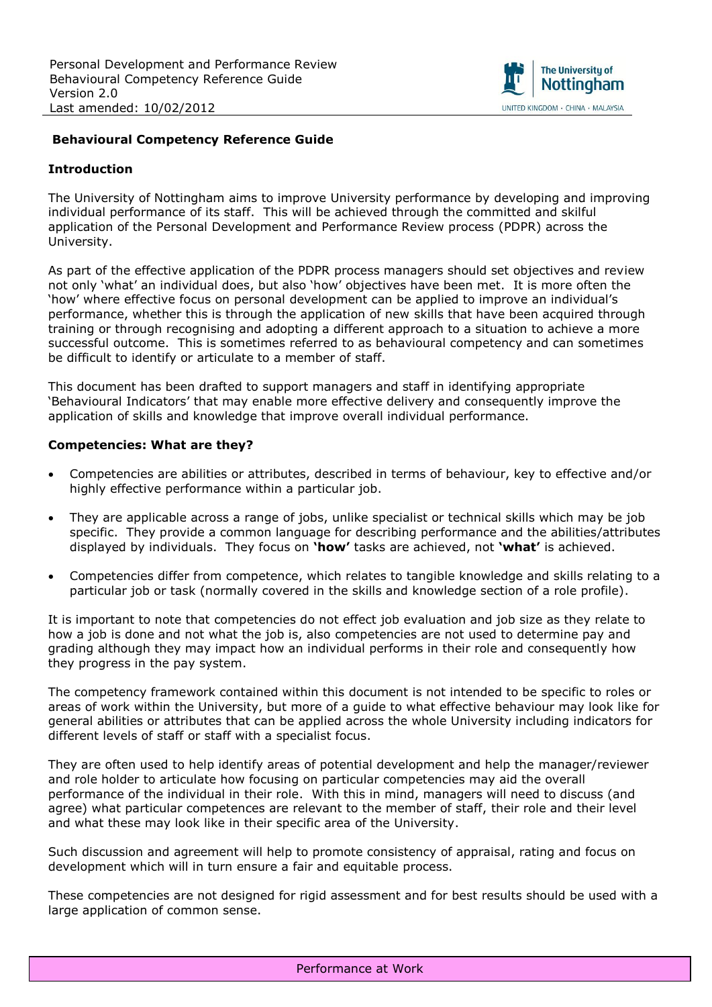

#### **Behavioural Competency Reference Guide**

#### **Introduction**

The University of Nottingham aims to improve University performance by developing and improving individual performance of its staff. This will be achieved through the committed and skilful application of the Personal Development and Performance Review process (PDPR) across the University.

As part of the effective application of the PDPR process managers should set objectives and review not only 'what' an individual does, but also 'how' objectives have been met. It is more often the 'how' where effective focus on personal development can be applied to improve an individual's performance, whether this is through the application of new skills that have been acquired through training or through recognising and adopting a different approach to a situation to achieve a more successful outcome. This is sometimes referred to as behavioural competency and can sometimes be difficult to identify or articulate to a member of staff.

This document has been drafted to support managers and staff in identifying appropriate 'Behavioural Indicators' that may enable more effective delivery and consequently improve the application of skills and knowledge that improve overall individual performance.

#### **Competencies: What are they?**

- Competencies are abilities or attributes, described in terms of behaviour, key to effective and/or highly effective performance within a particular job.
- They are applicable across a range of jobs, unlike specialist or technical skills which may be job specific. They provide a common language for describing performance and the abilities/attributes displayed by individuals. They focus on **'how'** tasks are achieved, not **'what'** is achieved.
- Competencies differ from competence, which relates to tangible knowledge and skills relating to a particular job or task (normally covered in the skills and knowledge section of a role profile).

It is important to note that competencies do not effect job evaluation and job size as they relate to how a job is done and not what the job is, also competencies are not used to determine pay and grading although they may impact how an individual performs in their role and consequently how they progress in the pay system.

The competency framework contained within this document is not intended to be specific to roles or areas of work within the University, but more of a guide to what effective behaviour may look like for general abilities or attributes that can be applied across the whole University including indicators for different levels of staff or staff with a specialist focus.

They are often used to help identify areas of potential development and help the manager/reviewer and role holder to articulate how focusing on particular competencies may aid the overall performance of the individual in their role. With this in mind, managers will need to discuss (and agree) what particular competences are relevant to the member of staff, their role and their level and what these may look like in their specific area of the University.

Such discussion and agreement will help to promote consistency of appraisal, rating and focus on development which will in turn ensure a fair and equitable process.

These competencies are not designed for rigid assessment and for best results should be used with a large application of common sense.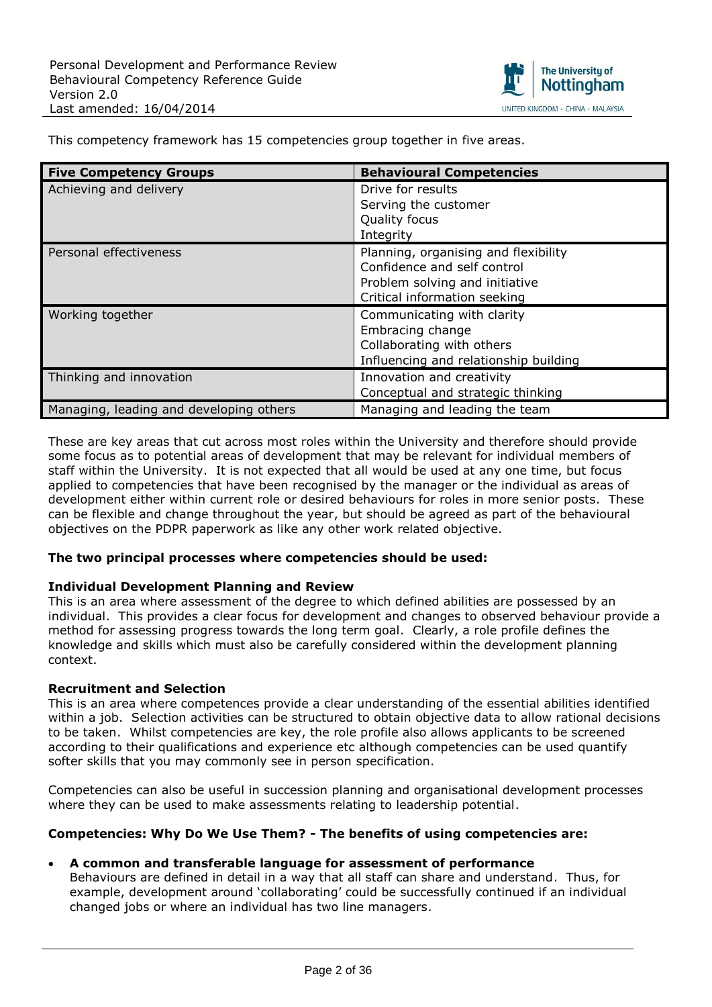

| <b>Five Competency Groups</b>           | <b>Behavioural Competencies</b>                                                                                                       |
|-----------------------------------------|---------------------------------------------------------------------------------------------------------------------------------------|
| Achieving and delivery                  | Drive for results<br>Serving the customer<br>Quality focus<br>Integrity                                                               |
| Personal effectiveness                  | Planning, organising and flexibility<br>Confidence and self control<br>Problem solving and initiative<br>Critical information seeking |
| Working together                        | Communicating with clarity<br>Embracing change<br>Collaborating with others<br>Influencing and relationship building                  |
| Thinking and innovation                 | Innovation and creativity<br>Conceptual and strategic thinking                                                                        |
| Managing, leading and developing others | Managing and leading the team                                                                                                         |

This competency framework has 15 competencies group together in five areas.

These are key areas that cut across most roles within the University and therefore should provide some focus as to potential areas of development that may be relevant for individual members of staff within the University. It is not expected that all would be used at any one time, but focus applied to competencies that have been recognised by the manager or the individual as areas of development either within current role or desired behaviours for roles in more senior posts. These can be flexible and change throughout the year, but should be agreed as part of the behavioural objectives on the PDPR paperwork as like any other work related objective.

### **The two principal processes where competencies should be used:**

#### **Individual Development Planning and Review**

This is an area where assessment of the degree to which defined abilities are possessed by an individual. This provides a clear focus for development and changes to observed behaviour provide a method for assessing progress towards the long term goal. Clearly, a role profile defines the knowledge and skills which must also be carefully considered within the development planning context.

#### **Recruitment and Selection**

This is an area where competences provide a clear understanding of the essential abilities identified within a job. Selection activities can be structured to obtain objective data to allow rational decisions to be taken. Whilst competencies are key, the role profile also allows applicants to be screened according to their qualifications and experience etc although competencies can be used quantify softer skills that you may commonly see in person specification.

Competencies can also be useful in succession planning and organisational development processes where they can be used to make assessments relating to leadership potential.

#### **Competencies: Why Do We Use Them? - The benefits of using competencies are:**

#### **A common and transferable language for assessment of performance**

Behaviours are defined in detail in a way that all staff can share and understand. Thus, for example, development around 'collaborating' could be successfully continued if an individual changed jobs or where an individual has two line managers.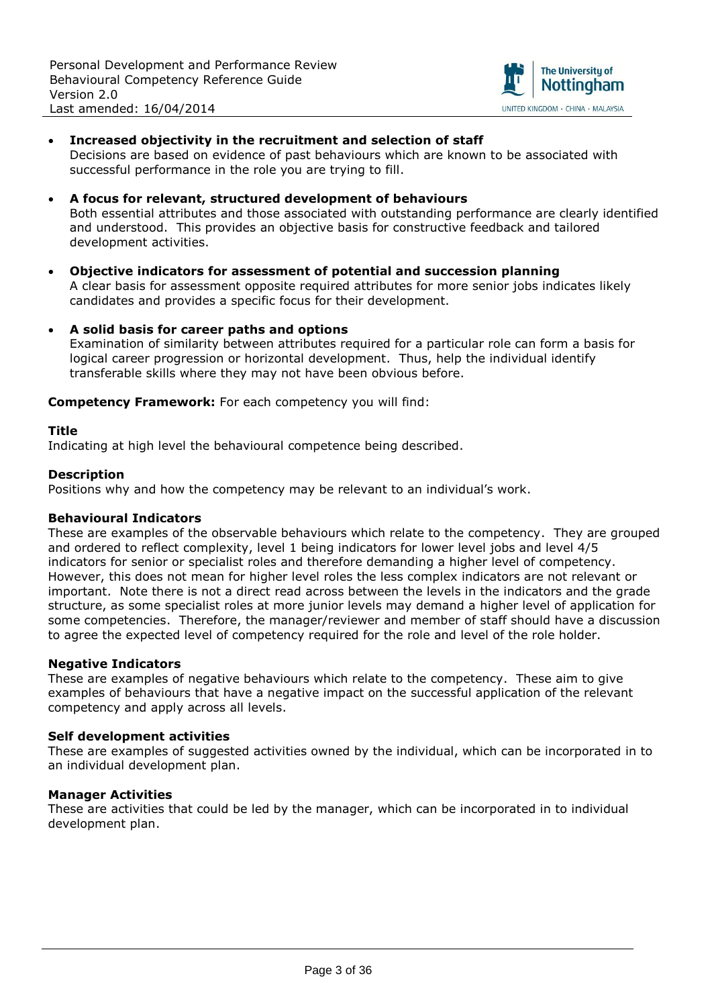

#### **Increased objectivity in the recruitment and selection of staff** Decisions are based on evidence of past behaviours which are known to be associated with successful performance in the role you are trying to fill.

- **A focus for relevant, structured development of behaviours** Both essential attributes and those associated with outstanding performance are clearly identified and understood. This provides an objective basis for constructive feedback and tailored development activities.
- **Objective indicators for assessment of potential and succession planning** A clear basis for assessment opposite required attributes for more senior jobs indicates likely candidates and provides a specific focus for their development.
- **A solid basis for career paths and options** Examination of similarity between attributes required for a particular role can form a basis for logical career progression or horizontal development. Thus, help the individual identify transferable skills where they may not have been obvious before.

**Competency Framework:** For each competency you will find:

#### **Title**

Indicating at high level the behavioural competence being described.

### **Description**

Positions why and how the competency may be relevant to an individual's work.

#### **Behavioural Indicators**

These are examples of the observable behaviours which relate to the competency. They are grouped and ordered to reflect complexity, level 1 being indicators for lower level jobs and level 4/5 indicators for senior or specialist roles and therefore demanding a higher level of competency. However, this does not mean for higher level roles the less complex indicators are not relevant or important. Note there is not a direct read across between the levels in the indicators and the grade structure, as some specialist roles at more junior levels may demand a higher level of application for some competencies. Therefore, the manager/reviewer and member of staff should have a discussion to agree the expected level of competency required for the role and level of the role holder.

#### **Negative Indicators**

These are examples of negative behaviours which relate to the competency. These aim to give examples of behaviours that have a negative impact on the successful application of the relevant competency and apply across all levels.

#### **Self development activities**

These are examples of suggested activities owned by the individual, which can be incorporated in to an individual development plan.

#### **Manager Activities**

These are activities that could be led by the manager, which can be incorporated in to individual development plan.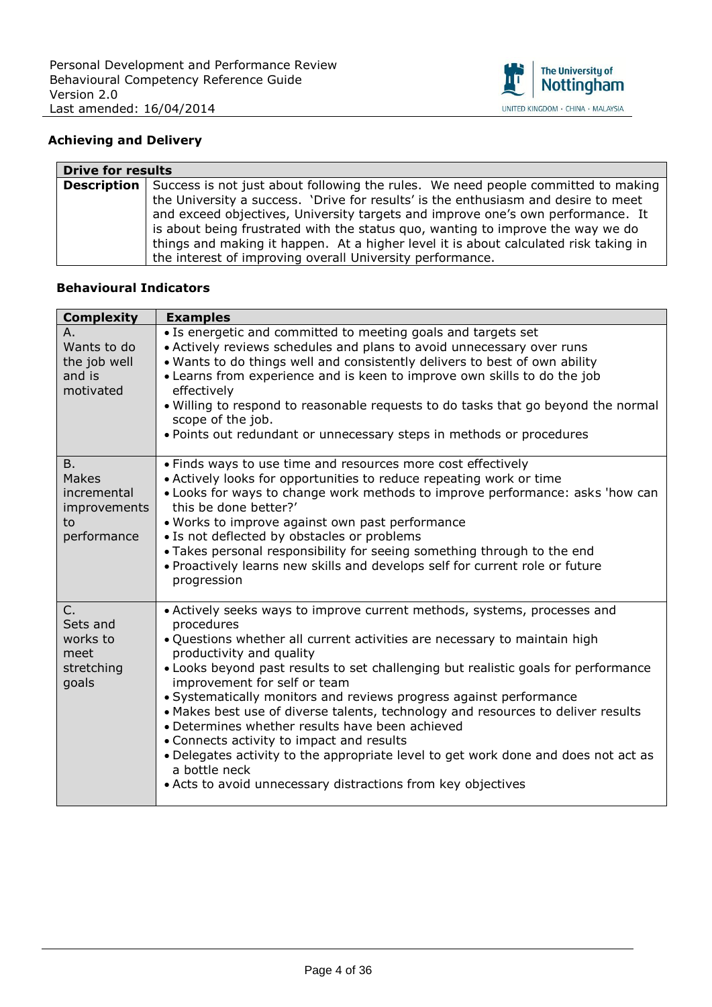

# **Achieving and Delivery**

| <b>Drive for results</b> |                                                                                                                                                                                                                                                                                                                                                                                                                                                          |
|--------------------------|----------------------------------------------------------------------------------------------------------------------------------------------------------------------------------------------------------------------------------------------------------------------------------------------------------------------------------------------------------------------------------------------------------------------------------------------------------|
|                          | <b>Description</b> Success is not just about following the rules. We need people committed to making<br>the University a success. 'Drive for results' is the enthusiasm and desire to meet<br>and exceed objectives, University targets and improve one's own performance. It<br>is about being frustrated with the status quo, wanting to improve the way we do<br>things and making it happen. At a higher level it is about calculated risk taking in |
|                          | the interest of improving overall University performance.                                                                                                                                                                                                                                                                                                                                                                                                |

| <b>Complexity</b>                                                      | <b>Examples</b>                                                                                                                                                                                                                                                                                                                                                                                                                                                                                                                                                                                                                                                                                                                                        |
|------------------------------------------------------------------------|--------------------------------------------------------------------------------------------------------------------------------------------------------------------------------------------------------------------------------------------------------------------------------------------------------------------------------------------------------------------------------------------------------------------------------------------------------------------------------------------------------------------------------------------------------------------------------------------------------------------------------------------------------------------------------------------------------------------------------------------------------|
| Α.<br>Wants to do<br>the job well<br>and is<br>motivated               | • Is energetic and committed to meeting goals and targets set<br>• Actively reviews schedules and plans to avoid unnecessary over runs<br>. Wants to do things well and consistently delivers to best of own ability<br>• Learns from experience and is keen to improve own skills to do the job<br>effectively<br>. Willing to respond to reasonable requests to do tasks that go beyond the normal<br>scope of the job.<br>. Points out redundant or unnecessary steps in methods or procedures                                                                                                                                                                                                                                                      |
| B.<br><b>Makes</b><br>incremental<br>improvements<br>to<br>performance | • Finds ways to use time and resources more cost effectively<br>• Actively looks for opportunities to reduce repeating work or time<br>. Looks for ways to change work methods to improve performance: asks 'how can<br>this be done better?'<br>. Works to improve against own past performance<br>• Is not deflected by obstacles or problems<br>• Takes personal responsibility for seeing something through to the end<br>. Proactively learns new skills and develops self for current role or future<br>progression                                                                                                                                                                                                                              |
| $C_{1}$<br>Sets and<br>works to<br>meet<br>stretching<br>goals         | • Actively seeks ways to improve current methods, systems, processes and<br>procedures<br>. Questions whether all current activities are necessary to maintain high<br>productivity and quality<br>• Looks beyond past results to set challenging but realistic goals for performance<br>improvement for self or team<br>• Systematically monitors and reviews progress against performance<br>• Makes best use of diverse talents, technology and resources to deliver results<br>• Determines whether results have been achieved<br>• Connects activity to impact and results<br>• Delegates activity to the appropriate level to get work done and does not act as<br>a bottle neck<br>• Acts to avoid unnecessary distractions from key objectives |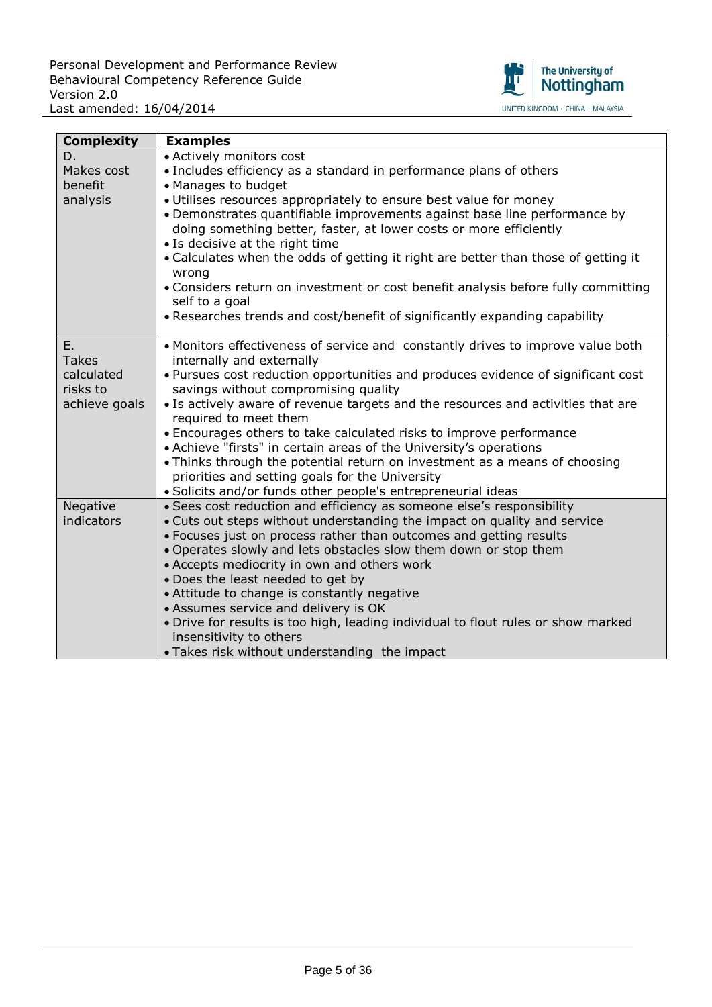

| <b>Complexity</b>      | <b>Examples</b>                                                                                                                                |
|------------------------|------------------------------------------------------------------------------------------------------------------------------------------------|
| D.                     | • Actively monitors cost                                                                                                                       |
| Makes cost             | • Includes efficiency as a standard in performance plans of others                                                                             |
| benefit                | • Manages to budget                                                                                                                            |
| analysis               | · Utilises resources appropriately to ensure best value for money                                                                              |
|                        | • Demonstrates quantifiable improvements against base line performance by                                                                      |
|                        | doing something better, faster, at lower costs or more efficiently                                                                             |
|                        | • Is decisive at the right time                                                                                                                |
|                        | • Calculates when the odds of getting it right are better than those of getting it                                                             |
|                        | wrong                                                                                                                                          |
|                        | • Considers return on investment or cost benefit analysis before fully committing                                                              |
|                        | self to a goal<br>• Researches trends and cost/benefit of significantly expanding capability                                                   |
|                        |                                                                                                                                                |
| Ε.                     | • Monitors effectiveness of service and constantly drives to improve value both                                                                |
| <b>Takes</b>           | internally and externally                                                                                                                      |
| calculated             | . Pursues cost reduction opportunities and produces evidence of significant cost                                                               |
| risks to               | savings without compromising quality                                                                                                           |
| achieve goals          | • Is actively aware of revenue targets and the resources and activities that are                                                               |
|                        | required to meet them                                                                                                                          |
|                        | • Encourages others to take calculated risks to improve performance                                                                            |
|                        | • Achieve "firsts" in certain areas of the University's operations                                                                             |
|                        | • Thinks through the potential return on investment as a means of choosing                                                                     |
|                        | priorities and setting goals for the University                                                                                                |
|                        | · Solicits and/or funds other people's entrepreneurial ideas                                                                                   |
| Negative<br>indicators | · Sees cost reduction and efficiency as someone else's responsibility                                                                          |
|                        | • Cuts out steps without understanding the impact on quality and service<br>• Focuses just on process rather than outcomes and getting results |
|                        | . Operates slowly and lets obstacles slow them down or stop them                                                                               |
|                        | • Accepts mediocrity in own and others work                                                                                                    |
|                        | . Does the least needed to get by                                                                                                              |
|                        | • Attitude to change is constantly negative                                                                                                    |
|                        | • Assumes service and delivery is OK                                                                                                           |
|                        | . Drive for results is too high, leading individual to flout rules or show marked                                                              |
|                        | insensitivity to others                                                                                                                        |
|                        | . Takes risk without understanding the impact                                                                                                  |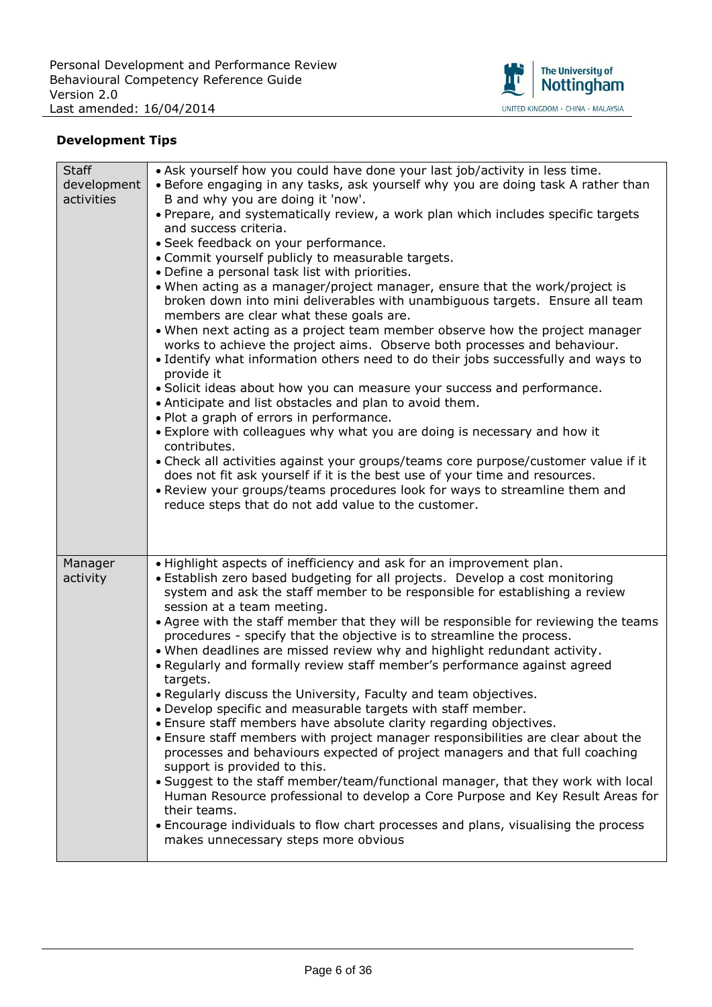

| <b>Staff</b> | . Ask yourself how you could have done your last job/activity in less time.                                                                                                                                                                  |
|--------------|----------------------------------------------------------------------------------------------------------------------------------------------------------------------------------------------------------------------------------------------|
| development  | • Before engaging in any tasks, ask yourself why you are doing task A rather than                                                                                                                                                            |
| activities   | B and why you are doing it 'now'.                                                                                                                                                                                                            |
|              | • Prepare, and systematically review, a work plan which includes specific targets                                                                                                                                                            |
|              | and success criteria.                                                                                                                                                                                                                        |
|              | · Seek feedback on your performance.                                                                                                                                                                                                         |
|              | • Commit yourself publicly to measurable targets.                                                                                                                                                                                            |
|              | • Define a personal task list with priorities.                                                                                                                                                                                               |
|              | . When acting as a manager/project manager, ensure that the work/project is<br>broken down into mini deliverables with unambiguous targets. Ensure all team<br>members are clear what these goals are.                                       |
|              | . When next acting as a project team member observe how the project manager<br>works to achieve the project aims. Observe both processes and behaviour.<br>. Identify what information others need to do their jobs successfully and ways to |
|              | provide it<br>· Solicit ideas about how you can measure your success and performance.<br>• Anticipate and list obstacles and plan to avoid them.                                                                                             |
|              | . Plot a graph of errors in performance.                                                                                                                                                                                                     |
|              | • Explore with colleagues why what you are doing is necessary and how it<br>contributes.                                                                                                                                                     |
|              | • Check all activities against your groups/teams core purpose/customer value if it                                                                                                                                                           |
|              | does not fit ask yourself if it is the best use of your time and resources.                                                                                                                                                                  |
|              | . Review your groups/teams procedures look for ways to streamline them and                                                                                                                                                                   |
|              | reduce steps that do not add value to the customer.                                                                                                                                                                                          |
|              |                                                                                                                                                                                                                                              |
|              |                                                                                                                                                                                                                                              |
|              |                                                                                                                                                                                                                                              |
|              |                                                                                                                                                                                                                                              |
| Manager      | . Highlight aspects of inefficiency and ask for an improvement plan.                                                                                                                                                                         |
| activity     | · Establish zero based budgeting for all projects. Develop a cost monitoring<br>system and ask the staff member to be responsible for establishing a review                                                                                  |
|              | session at a team meeting.                                                                                                                                                                                                                   |
|              | . Agree with the staff member that they will be responsible for reviewing the teams                                                                                                                                                          |
|              | procedures - specify that the objective is to streamline the process.                                                                                                                                                                        |
|              | . When deadlines are missed review why and highlight redundant activity.<br>. Regularly and formally review staff member's performance against agreed                                                                                        |
|              | targets.                                                                                                                                                                                                                                     |
|              |                                                                                                                                                                                                                                              |
|              | . Regularly discuss the University, Faculty and team objectives.<br>. Develop specific and measurable targets with staff member.                                                                                                             |
|              | . Ensure staff members have absolute clarity regarding objectives.                                                                                                                                                                           |
|              | . Ensure staff members with project manager responsibilities are clear about the                                                                                                                                                             |
|              | processes and behaviours expected of project managers and that full coaching                                                                                                                                                                 |
|              | support is provided to this.                                                                                                                                                                                                                 |
|              | • Suggest to the staff member/team/functional manager, that they work with local                                                                                                                                                             |
|              | Human Resource professional to develop a Core Purpose and Key Result Areas for                                                                                                                                                               |
|              | their teams.                                                                                                                                                                                                                                 |
|              | • Encourage individuals to flow chart processes and plans, visualising the process<br>makes unnecessary steps more obvious                                                                                                                   |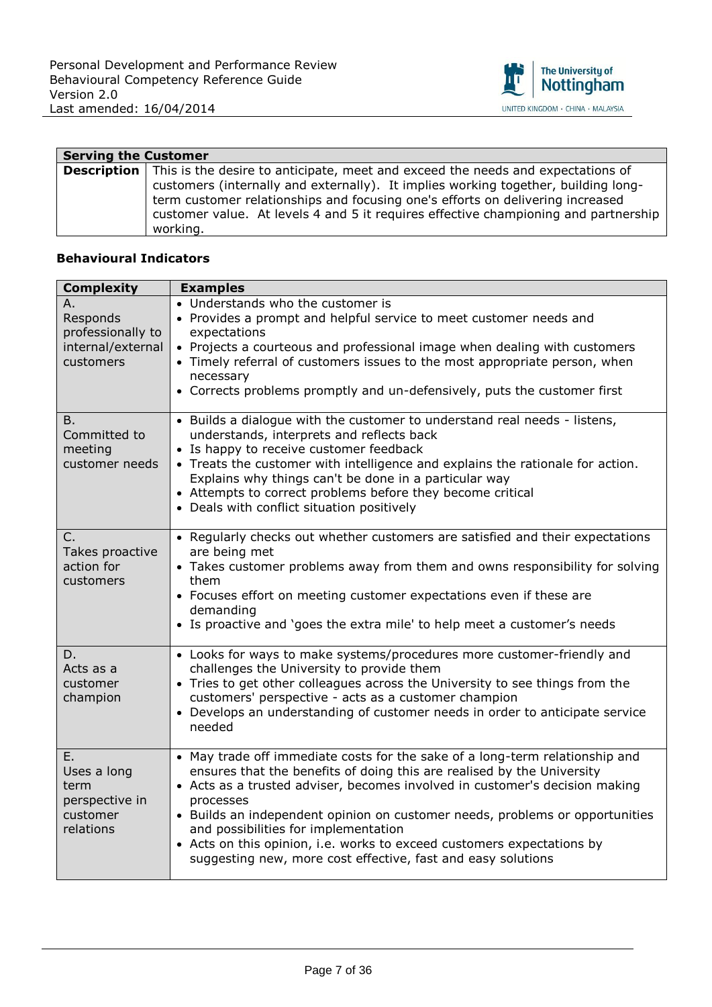

| <b>Serving the Customer</b> |                                                                                                                                                                                                                                                                                                                                                                               |
|-----------------------------|-------------------------------------------------------------------------------------------------------------------------------------------------------------------------------------------------------------------------------------------------------------------------------------------------------------------------------------------------------------------------------|
|                             | <b>Description</b> This is the desire to anticipate, meet and exceed the needs and expectations of<br>customers (internally and externally). It implies working together, building long-<br>term customer relationships and focusing one's efforts on delivering increased<br>customer value. At levels 4 and 5 it requires effective championing and partnership<br>working. |

| <b>Complexity</b>                                                     | <b>Examples</b>                                                                                                                                                                                                                                                                                                                                                                                                                                                                                                      |
|-----------------------------------------------------------------------|----------------------------------------------------------------------------------------------------------------------------------------------------------------------------------------------------------------------------------------------------------------------------------------------------------------------------------------------------------------------------------------------------------------------------------------------------------------------------------------------------------------------|
| Α.<br>Responds<br>professionally to<br>internal/external<br>customers | • Understands who the customer is<br>• Provides a prompt and helpful service to meet customer needs and<br>expectations<br>• Projects a courteous and professional image when dealing with customers<br>• Timely referral of customers issues to the most appropriate person, when<br>necessary<br>• Corrects problems promptly and un-defensively, puts the customer first                                                                                                                                          |
| Β.<br>Committed to<br>meeting<br>customer needs                       | • Builds a dialogue with the customer to understand real needs - listens,<br>understands, interprets and reflects back<br>• Is happy to receive customer feedback<br>• Treats the customer with intelligence and explains the rationale for action.<br>Explains why things can't be done in a particular way<br>• Attempts to correct problems before they become critical<br>• Deals with conflict situation positively                                                                                             |
| C.<br>Takes proactive<br>action for<br>customers                      | • Regularly checks out whether customers are satisfied and their expectations<br>are being met<br>• Takes customer problems away from them and owns responsibility for solving<br>them<br>• Focuses effort on meeting customer expectations even if these are<br>demanding<br>• Is proactive and 'goes the extra mile' to help meet a customer's needs                                                                                                                                                               |
| D.<br>Acts as a<br>customer<br>champion                               | • Looks for ways to make systems/procedures more customer-friendly and<br>challenges the University to provide them<br>• Tries to get other colleagues across the University to see things from the<br>customers' perspective - acts as a customer champion<br>• Develops an understanding of customer needs in order to anticipate service<br>needed                                                                                                                                                                |
| Ε.<br>Uses a long<br>term<br>perspective in<br>customer<br>relations  | • May trade off immediate costs for the sake of a long-term relationship and<br>ensures that the benefits of doing this are realised by the University<br>• Acts as a trusted adviser, becomes involved in customer's decision making<br>processes<br>• Builds an independent opinion on customer needs, problems or opportunities<br>and possibilities for implementation<br>• Acts on this opinion, i.e. works to exceed customers expectations by<br>suggesting new, more cost effective, fast and easy solutions |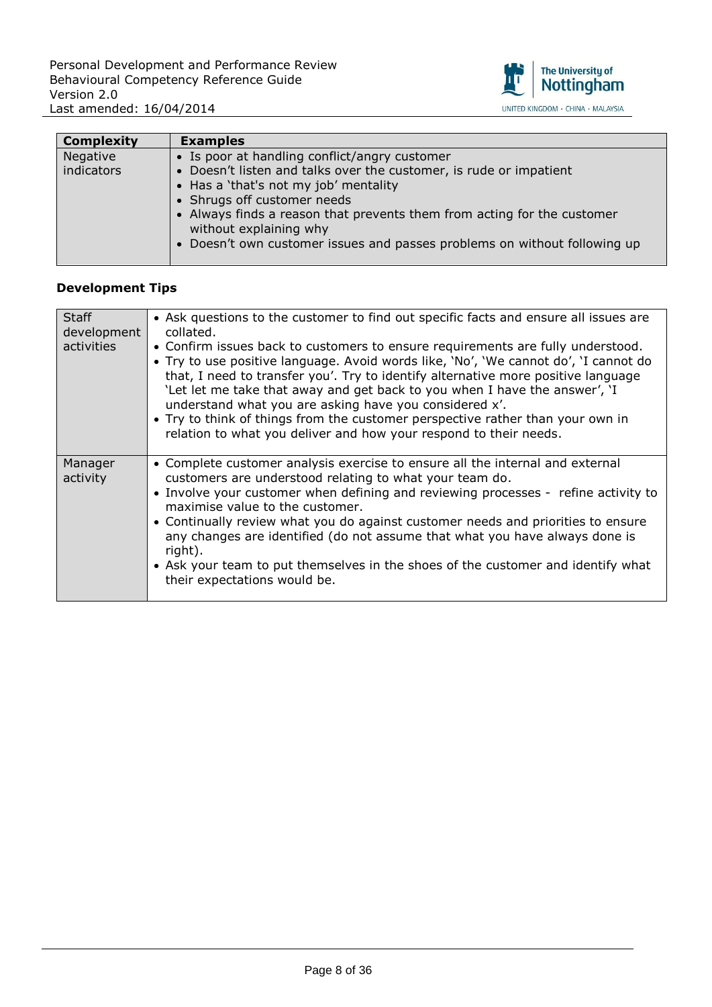

| <b>Complexity</b> | <b>Examples</b>                                                           |
|-------------------|---------------------------------------------------------------------------|
| Negative          | • Is poor at handling conflict/angry customer                             |
| indicators        | • Doesn't listen and talks over the customer, is rude or impatient        |
|                   | • Has a 'that's not my job' mentality                                     |
|                   | • Shrugs off customer needs                                               |
|                   | • Always finds a reason that prevents them from acting for the customer   |
|                   | without explaining why                                                    |
|                   | • Doesn't own customer issues and passes problems on without following up |
|                   |                                                                           |

| <b>Staff</b><br>development<br>activities | • Ask questions to the customer to find out specific facts and ensure all issues are<br>collated.<br>• Confirm issues back to customers to ensure requirements are fully understood.<br>• Try to use positive language. Avoid words like, 'No', 'We cannot do', 'I cannot do<br>that, I need to transfer you'. Try to identify alternative more positive language<br>'Let let me take that away and get back to you when I have the answer', 'I<br>understand what you are asking have you considered x'.<br>• Try to think of things from the customer perspective rather than your own in<br>relation to what you deliver and how your respond to their needs. |
|-------------------------------------------|------------------------------------------------------------------------------------------------------------------------------------------------------------------------------------------------------------------------------------------------------------------------------------------------------------------------------------------------------------------------------------------------------------------------------------------------------------------------------------------------------------------------------------------------------------------------------------------------------------------------------------------------------------------|
| Manager<br>activity                       | • Complete customer analysis exercise to ensure all the internal and external<br>customers are understood relating to what your team do.<br>• Involve your customer when defining and reviewing processes - refine activity to<br>maximise value to the customer.<br>• Continually review what you do against customer needs and priorities to ensure<br>any changes are identified (do not assume that what you have always done is<br>right).<br>• Ask your team to put themselves in the shoes of the customer and identify what<br>their expectations would be.                                                                                              |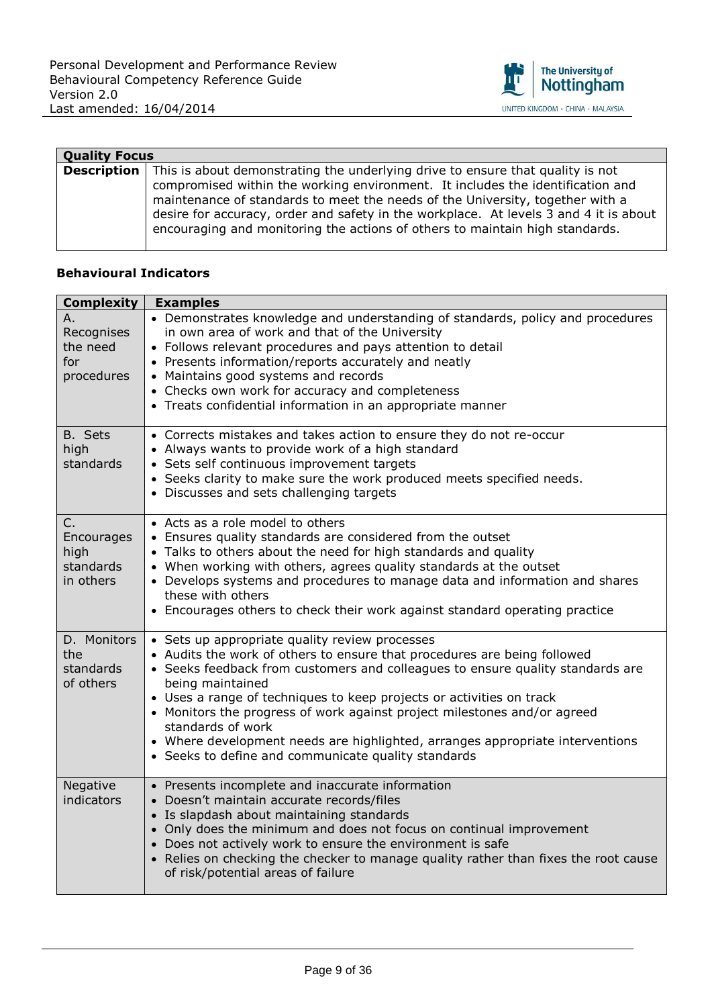

| <b>Quality Focus</b> |                                                                                                                                                                                                                                                                                                                                                                                                                                               |
|----------------------|-----------------------------------------------------------------------------------------------------------------------------------------------------------------------------------------------------------------------------------------------------------------------------------------------------------------------------------------------------------------------------------------------------------------------------------------------|
|                      | <b>Description</b> This is about demonstrating the underlying drive to ensure that quality is not<br>compromised within the working environment. It includes the identification and<br>maintenance of standards to meet the needs of the University, together with a<br>desire for accuracy, order and safety in the workplace. At levels 3 and 4 it is about<br>encouraging and monitoring the actions of others to maintain high standards. |

| <b>Complexity</b>                                  | <b>Examples</b>                                                                                                                                                                                                                                                                                                                                                                                                                                                                                                                                   |
|----------------------------------------------------|---------------------------------------------------------------------------------------------------------------------------------------------------------------------------------------------------------------------------------------------------------------------------------------------------------------------------------------------------------------------------------------------------------------------------------------------------------------------------------------------------------------------------------------------------|
| Α.<br>Recognises<br>the need<br>for<br>procedures  | • Demonstrates knowledge and understanding of standards, policy and procedures<br>in own area of work and that of the University<br>• Follows relevant procedures and pays attention to detail<br>• Presents information/reports accurately and neatly<br>• Maintains good systems and records<br>• Checks own work for accuracy and completeness<br>• Treats confidential information in an appropriate manner                                                                                                                                   |
| B. Sets<br>high<br>standards                       | • Corrects mistakes and takes action to ensure they do not re-occur<br>• Always wants to provide work of a high standard<br>• Sets self continuous improvement targets<br>• Seeks clarity to make sure the work produced meets specified needs.<br>• Discusses and sets challenging targets                                                                                                                                                                                                                                                       |
| C.<br>Encourages<br>high<br>standards<br>in others | • Acts as a role model to others<br>• Ensures quality standards are considered from the outset<br>• Talks to others about the need for high standards and quality<br>• When working with others, agrees quality standards at the outset<br>• Develops systems and procedures to manage data and information and shares<br>these with others<br>• Encourages others to check their work against standard operating practice                                                                                                                        |
| D. Monitors<br>the<br>standards<br>of others       | • Sets up appropriate quality review processes<br>• Audits the work of others to ensure that procedures are being followed<br>• Seeks feedback from customers and colleagues to ensure quality standards are<br>being maintained<br>• Uses a range of techniques to keep projects or activities on track<br>• Monitors the progress of work against project milestones and/or agreed<br>standards of work<br>• Where development needs are highlighted, arranges appropriate interventions<br>• Seeks to define and communicate quality standards |
| Negative<br>indicators                             | • Presents incomplete and inaccurate information<br>• Doesn't maintain accurate records/files<br>• Is slapdash about maintaining standards<br>• Only does the minimum and does not focus on continual improvement<br>• Does not actively work to ensure the environment is safe<br>• Relies on checking the checker to manage quality rather than fixes the root cause<br>of risk/potential areas of failure                                                                                                                                      |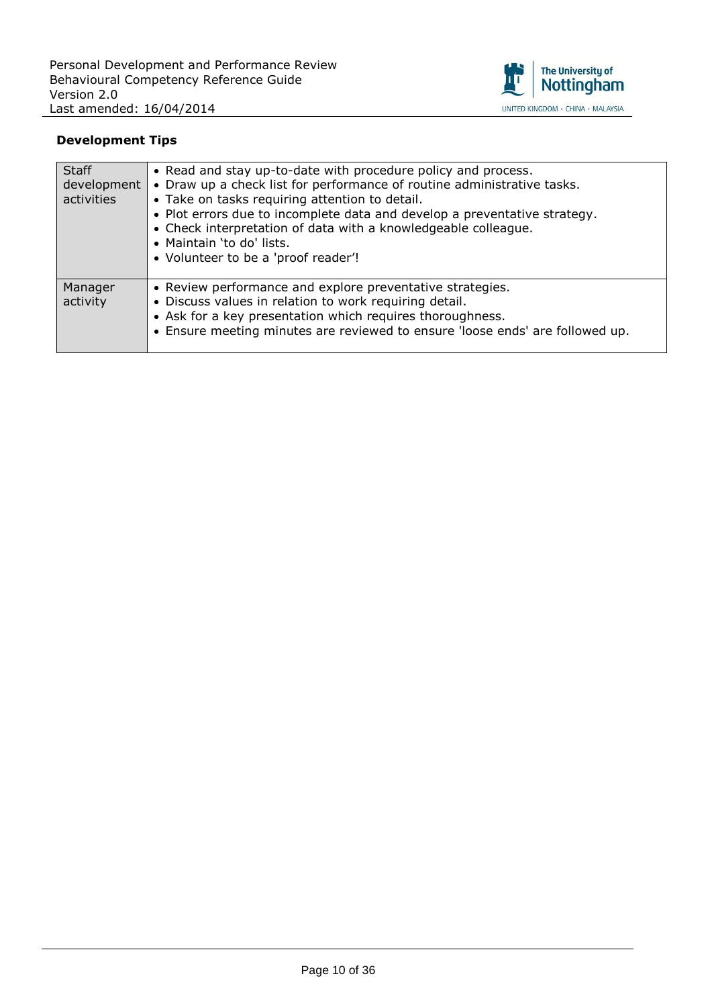

| <b>Staff</b><br>development<br>activities | • Read and stay up-to-date with procedure policy and process.<br>• Draw up a check list for performance of routine administrative tasks.<br>• Take on tasks requiring attention to detail.<br>. Plot errors due to incomplete data and develop a preventative strategy.<br>• Check interpretation of data with a knowledgeable colleague.<br>• Maintain 'to do' lists.<br>• Volunteer to be a 'proof reader'! |
|-------------------------------------------|---------------------------------------------------------------------------------------------------------------------------------------------------------------------------------------------------------------------------------------------------------------------------------------------------------------------------------------------------------------------------------------------------------------|
| Manager<br>activity                       | • Review performance and explore preventative strategies.<br>• Discuss values in relation to work requiring detail.<br>• Ask for a key presentation which requires thoroughness.<br>• Ensure meeting minutes are reviewed to ensure 'loose ends' are followed up.                                                                                                                                             |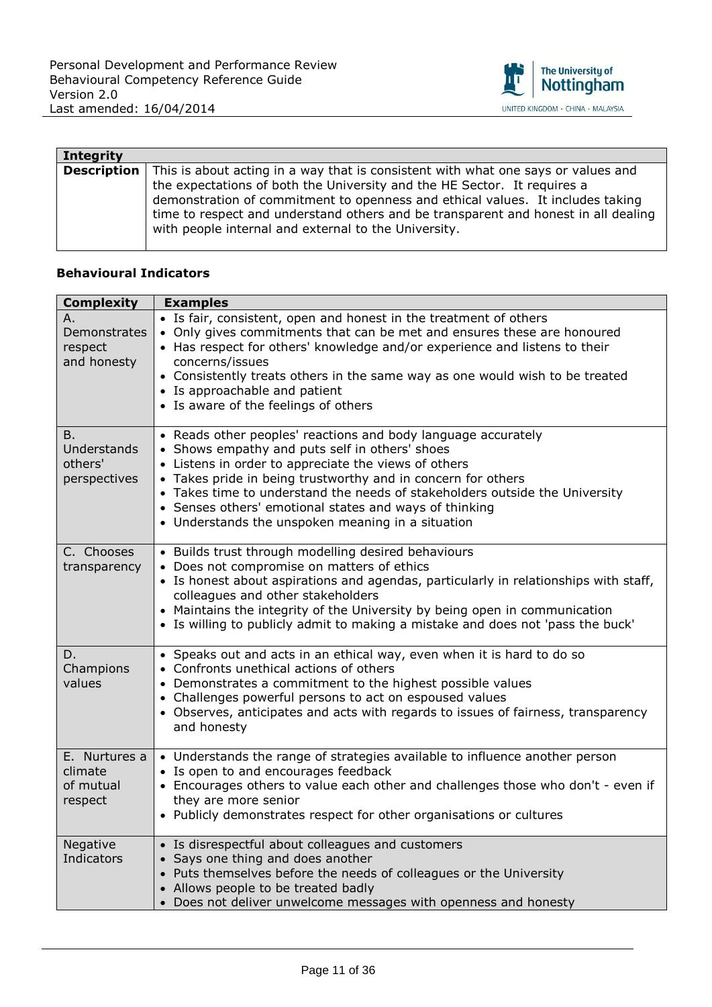

| Integrity   |                                                                                                                                                                                                                                                                                                                                                                                               |
|-------------|-----------------------------------------------------------------------------------------------------------------------------------------------------------------------------------------------------------------------------------------------------------------------------------------------------------------------------------------------------------------------------------------------|
| Description | This is about acting in a way that is consistent with what one says or values and<br>the expectations of both the University and the HE Sector. It requires a<br>demonstration of commitment to openness and ethical values. It includes taking<br>time to respect and understand others and be transparent and honest in all dealing<br>with people internal and external to the University. |

| <b>Complexity</b>                                   | <b>Examples</b>                                                                                                                                                                                                                                                                                                                                                                                                                       |
|-----------------------------------------------------|---------------------------------------------------------------------------------------------------------------------------------------------------------------------------------------------------------------------------------------------------------------------------------------------------------------------------------------------------------------------------------------------------------------------------------------|
| Α.<br>Demonstrates<br>respect<br>and honesty        | • Is fair, consistent, open and honest in the treatment of others<br>• Only gives commitments that can be met and ensures these are honoured<br>• Has respect for others' knowledge and/or experience and listens to their<br>concerns/issues<br>• Consistently treats others in the same way as one would wish to be treated<br>• Is approachable and patient<br>• Is aware of the feelings of others                                |
| <b>B.</b><br>Understands<br>others'<br>perspectives | • Reads other peoples' reactions and body language accurately<br>• Shows empathy and puts self in others' shoes<br>• Listens in order to appreciate the views of others<br>• Takes pride in being trustworthy and in concern for others<br>• Takes time to understand the needs of stakeholders outside the University<br>• Senses others' emotional states and ways of thinking<br>• Understands the unspoken meaning in a situation |
| C. Chooses<br>transparency                          | • Builds trust through modelling desired behaviours<br>• Does not compromise on matters of ethics<br>• Is honest about aspirations and agendas, particularly in relationships with staff,<br>colleagues and other stakeholders<br>• Maintains the integrity of the University by being open in communication<br>• Is willing to publicly admit to making a mistake and does not 'pass the buck'                                       |
| D.<br>Champions<br>values                           | • Speaks out and acts in an ethical way, even when it is hard to do so<br>• Confronts unethical actions of others<br>• Demonstrates a commitment to the highest possible values<br>• Challenges powerful persons to act on espoused values<br>• Observes, anticipates and acts with regards to issues of fairness, transparency<br>and honesty                                                                                        |
| E. Nurtures a<br>climate<br>of mutual<br>respect    | • Understands the range of strategies available to influence another person<br>• Is open to and encourages feedback<br>• Encourages others to value each other and challenges those who don't - even if<br>they are more senior<br>• Publicly demonstrates respect for other organisations or cultures                                                                                                                                |
| Negative<br>Indicators                              | • Is disrespectful about colleagues and customers<br>• Says one thing and does another<br>• Puts themselves before the needs of colleagues or the University<br>• Allows people to be treated badly<br>• Does not deliver unwelcome messages with openness and honesty                                                                                                                                                                |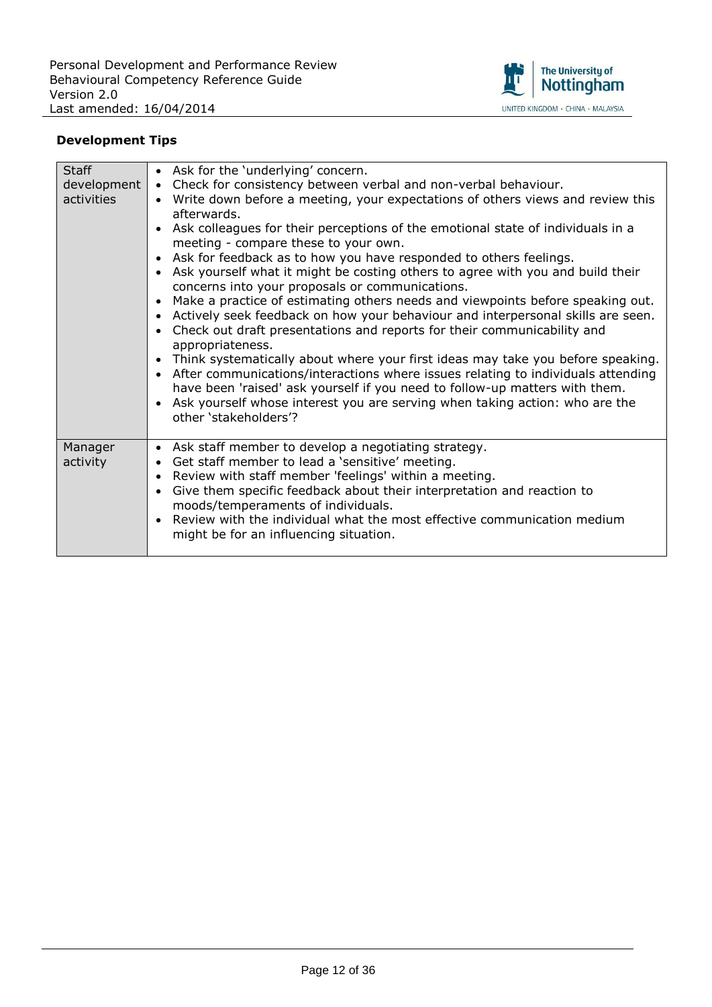

| Staff<br>development<br>activities | • Ask for the 'underlying' concern.<br>• Check for consistency between verbal and non-verbal behaviour.<br>• Write down before a meeting, your expectations of others views and review this                                                                                                                                                                                                                                                                                                                                                                                                                                                                                                                                                                                                                                                                                                                                                                                                                                                                                                             |
|------------------------------------|---------------------------------------------------------------------------------------------------------------------------------------------------------------------------------------------------------------------------------------------------------------------------------------------------------------------------------------------------------------------------------------------------------------------------------------------------------------------------------------------------------------------------------------------------------------------------------------------------------------------------------------------------------------------------------------------------------------------------------------------------------------------------------------------------------------------------------------------------------------------------------------------------------------------------------------------------------------------------------------------------------------------------------------------------------------------------------------------------------|
|                                    | afterwards.<br>Ask colleagues for their perceptions of the emotional state of individuals in a<br>$\bullet$<br>meeting - compare these to your own.<br>Ask for feedback as to how you have responded to others feelings.<br>$\bullet$<br>Ask yourself what it might be costing others to agree with you and build their<br>$\bullet$<br>concerns into your proposals or communications.<br>Make a practice of estimating others needs and viewpoints before speaking out.<br>$\bullet$<br>Actively seek feedback on how your behaviour and interpersonal skills are seen.<br>$\bullet$<br>Check out draft presentations and reports for their communicability and<br>$\bullet$<br>appropriateness.<br>Think systematically about where your first ideas may take you before speaking.<br>$\bullet$<br>After communications/interactions where issues relating to individuals attending<br>$\bullet$<br>have been 'raised' ask yourself if you need to follow-up matters with them.<br>Ask yourself whose interest you are serving when taking action: who are the<br>$\bullet$<br>other 'stakeholders'? |
| Manager<br>activity                | • Ask staff member to develop a negotiating strategy.<br>Get staff member to lead a 'sensitive' meeting.<br>$\bullet$<br>Review with staff member 'feelings' within a meeting.<br>$\bullet$<br>Give them specific feedback about their interpretation and reaction to<br>$\bullet$<br>moods/temperaments of individuals.<br>Review with the individual what the most effective communication medium<br>$\bullet$<br>might be for an influencing situation.                                                                                                                                                                                                                                                                                                                                                                                                                                                                                                                                                                                                                                              |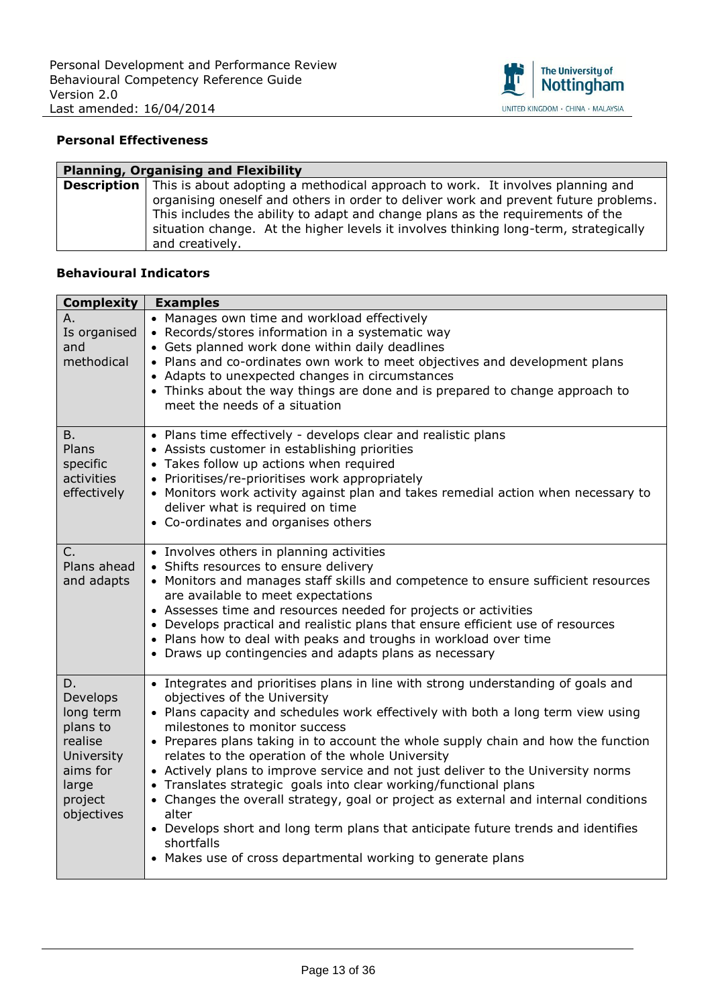

## **Personal Effectiveness**

| <b>Planning, Organising and Flexibility</b> |                                                                                                                                                                                                                                                                                  |
|---------------------------------------------|----------------------------------------------------------------------------------------------------------------------------------------------------------------------------------------------------------------------------------------------------------------------------------|
|                                             | <b>Description</b>   This is about adopting a methodical approach to work. It involves planning and                                                                                                                                                                              |
|                                             | organising oneself and others in order to deliver work and prevent future problems.<br>This includes the ability to adapt and change plans as the requirements of the<br>situation change. At the higher levels it involves thinking long-term, strategically<br>and creatively. |

| <b>Complexity</b>                                                                                              | <b>Examples</b>                                                                                                                                                                                                                                                                                                                                                                                                                                                                                                                                                                                                                                                                                                                                                                                           |
|----------------------------------------------------------------------------------------------------------------|-----------------------------------------------------------------------------------------------------------------------------------------------------------------------------------------------------------------------------------------------------------------------------------------------------------------------------------------------------------------------------------------------------------------------------------------------------------------------------------------------------------------------------------------------------------------------------------------------------------------------------------------------------------------------------------------------------------------------------------------------------------------------------------------------------------|
| А.<br>Is organised<br>and<br>methodical                                                                        | • Manages own time and workload effectively<br>• Records/stores information in a systematic way<br>• Gets planned work done within daily deadlines<br>• Plans and co-ordinates own work to meet objectives and development plans<br>• Adapts to unexpected changes in circumstances<br>• Thinks about the way things are done and is prepared to change approach to<br>meet the needs of a situation                                                                                                                                                                                                                                                                                                                                                                                                      |
| <b>B.</b><br>Plans<br>specific<br>activities<br>effectively                                                    | • Plans time effectively - develops clear and realistic plans<br>• Assists customer in establishing priorities<br>• Takes follow up actions when required<br>• Prioritises/re-prioritises work appropriately<br>• Monitors work activity against plan and takes remedial action when necessary to<br>deliver what is required on time<br>• Co-ordinates and organises others                                                                                                                                                                                                                                                                                                                                                                                                                              |
| C.<br>Plans ahead<br>and adapts                                                                                | • Involves others in planning activities<br>• Shifts resources to ensure delivery<br>• Monitors and manages staff skills and competence to ensure sufficient resources<br>are available to meet expectations<br>• Assesses time and resources needed for projects or activities<br>• Develops practical and realistic plans that ensure efficient use of resources<br>• Plans how to deal with peaks and troughs in workload over time<br>• Draws up contingencies and adapts plans as necessary                                                                                                                                                                                                                                                                                                          |
| D.<br>Develops<br>long term<br>plans to<br>realise<br>University<br>aims for<br>large<br>project<br>objectives | • Integrates and prioritises plans in line with strong understanding of goals and<br>objectives of the University<br>• Plans capacity and schedules work effectively with both a long term view using<br>milestones to monitor success<br>• Prepares plans taking in to account the whole supply chain and how the function<br>relates to the operation of the whole University<br>• Actively plans to improve service and not just deliver to the University norms<br>• Translates strategic goals into clear working/functional plans<br>• Changes the overall strategy, goal or project as external and internal conditions<br>alter<br>• Develops short and long term plans that anticipate future trends and identifies<br>shortfalls<br>• Makes use of cross departmental working to generate plans |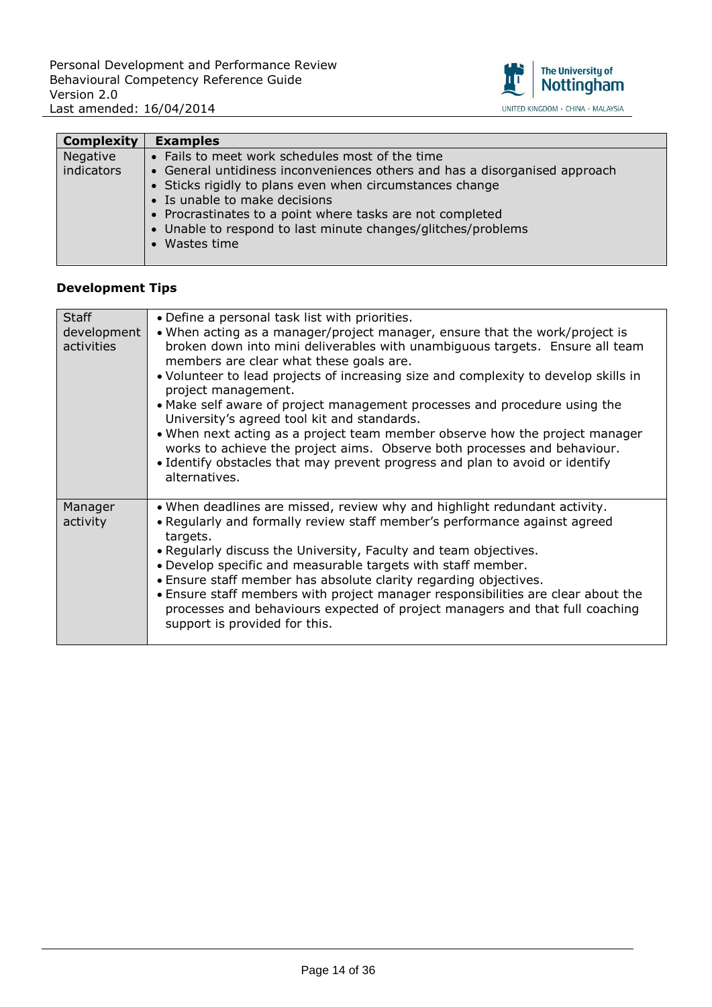

| <b>Complexity</b> | <b>Examples</b>                                                                                                                                                                                                                                                                                                       |
|-------------------|-----------------------------------------------------------------------------------------------------------------------------------------------------------------------------------------------------------------------------------------------------------------------------------------------------------------------|
| Negative          | • Fails to meet work schedules most of the time                                                                                                                                                                                                                                                                       |
| indicators        | • General untidiness inconveniences others and has a disorganised approach<br>• Sticks rigidly to plans even when circumstances change<br>• Is unable to make decisions<br>• Procrastinates to a point where tasks are not completed<br>• Unable to respond to last minute changes/glitches/problems<br>• Wastes time |

| <b>Staff</b><br>development<br>activities | • Define a personal task list with priorities.<br>• When acting as a manager/project manager, ensure that the work/project is<br>broken down into mini deliverables with unambiguous targets. Ensure all team<br>members are clear what these goals are.<br>• Volunteer to lead projects of increasing size and complexity to develop skills in<br>project management.<br>• Make self aware of project management processes and procedure using the<br>University's agreed tool kit and standards.<br>• When next acting as a project team member observe how the project manager<br>works to achieve the project aims. Observe both processes and behaviour.<br>• Identify obstacles that may prevent progress and plan to avoid or identify<br>alternatives. |
|-------------------------------------------|----------------------------------------------------------------------------------------------------------------------------------------------------------------------------------------------------------------------------------------------------------------------------------------------------------------------------------------------------------------------------------------------------------------------------------------------------------------------------------------------------------------------------------------------------------------------------------------------------------------------------------------------------------------------------------------------------------------------------------------------------------------|
| Manager<br>activity                       | • When deadlines are missed, review why and highlight redundant activity.<br>• Regularly and formally review staff member's performance against agreed<br>targets.<br>• Regularly discuss the University, Faculty and team objectives.<br>. Develop specific and measurable targets with staff member.<br>• Ensure staff member has absolute clarity regarding objectives.<br>. Ensure staff members with project manager responsibilities are clear about the<br>processes and behaviours expected of project managers and that full coaching<br>support is provided for this.                                                                                                                                                                                |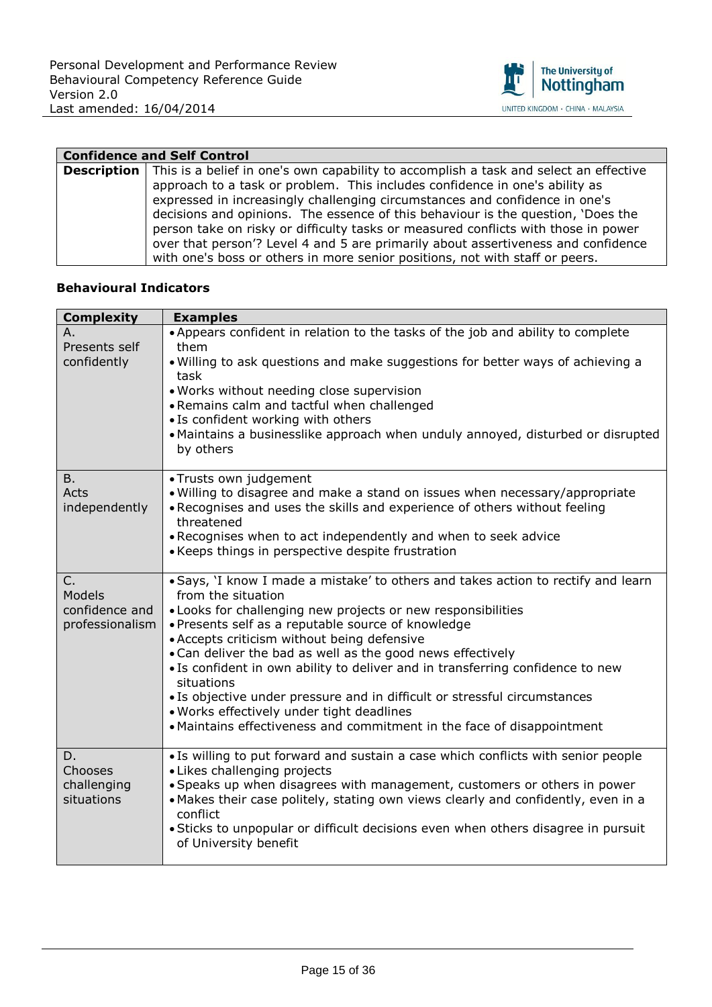

| <b>Confidence and Self Control</b> |                                                                                                            |
|------------------------------------|------------------------------------------------------------------------------------------------------------|
|                                    | <b>Description</b>   This is a belief in one's own capability to accomplish a task and select an effective |
|                                    | approach to a task or problem. This includes confidence in one's ability as                                |
|                                    | expressed in increasingly challenging circumstances and confidence in one's                                |
|                                    | decisions and opinions. The essence of this behaviour is the question, 'Does the                           |
|                                    | person take on risky or difficulty tasks or measured conflicts with those in power                         |
|                                    | over that person'? Level 4 and 5 are primarily about assertiveness and confidence                          |
|                                    | with one's boss or others in more senior positions, not with staff or peers.                               |

| <b>Complexity</b>            | <b>Examples</b>                                                                                                                                                        |
|------------------------------|------------------------------------------------------------------------------------------------------------------------------------------------------------------------|
| А.                           | • Appears confident in relation to the tasks of the job and ability to complete                                                                                        |
| Presents self<br>confidently | them<br>. Willing to ask questions and make suggestions for better ways of achieving a<br>task                                                                         |
|                              | . Works without needing close supervision                                                                                                                              |
|                              | . Remains calm and tactful when challenged                                                                                                                             |
|                              | • Is confident working with others<br>• Maintains a businesslike approach when unduly annoyed, disturbed or disrupted<br>by others                                     |
| <b>B.</b>                    | • Trusts own judgement                                                                                                                                                 |
| Acts<br>independently        | . Willing to disagree and make a stand on issues when necessary/appropriate<br>. Recognises and uses the skills and experience of others without feeling<br>threatened |
|                              | . Recognises when to act independently and when to seek advice                                                                                                         |
|                              | • Keeps things in perspective despite frustration                                                                                                                      |
| $C_{1}$<br>Models            | . Says, 'I know I made a mistake' to others and takes action to rectify and learn<br>from the situation                                                                |
| confidence and               | • Looks for challenging new projects or new responsibilities                                                                                                           |
| professionalism              | · Presents self as a reputable source of knowledge<br>• Accepts criticism without being defensive                                                                      |
|                              | • Can deliver the bad as well as the good news effectively                                                                                                             |
|                              | • Is confident in own ability to deliver and in transferring confidence to new<br>situations                                                                           |
|                              | • Is objective under pressure and in difficult or stressful circumstances                                                                                              |
|                              | . Works effectively under tight deadlines<br>• Maintains effectiveness and commitment in the face of disappointment                                                    |
|                              |                                                                                                                                                                        |
| D.<br>Chooses                | • Is willing to put forward and sustain a case which conflicts with senior people<br>• Likes challenging projects                                                      |
| challenging                  | · Speaks up when disagrees with management, customers or others in power                                                                                               |
| situations                   | . Makes their case politely, stating own views clearly and confidently, even in a<br>conflict                                                                          |
|                              | • Sticks to unpopular or difficult decisions even when others disagree in pursuit<br>of University benefit                                                             |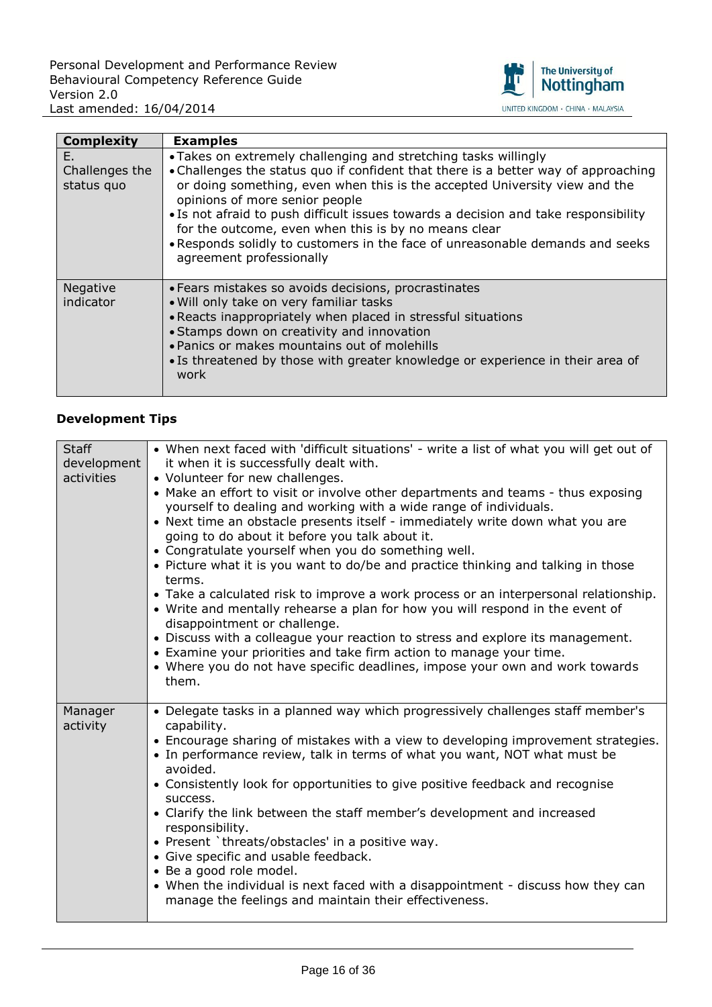

| <b>Complexity</b>                  | <b>Examples</b>                                                                                                                                                                                                                                                                                                                                                                                                                                                                                                                   |
|------------------------------------|-----------------------------------------------------------------------------------------------------------------------------------------------------------------------------------------------------------------------------------------------------------------------------------------------------------------------------------------------------------------------------------------------------------------------------------------------------------------------------------------------------------------------------------|
| Е.<br>Challenges the<br>status quo | • Takes on extremely challenging and stretching tasks willingly<br>• Challenges the status quo if confident that there is a better way of approaching<br>or doing something, even when this is the accepted University view and the<br>opinions of more senior people<br>. Is not afraid to push difficult issues towards a decision and take responsibility<br>for the outcome, even when this is by no means clear<br>. Responds solidly to customers in the face of unreasonable demands and seeks<br>agreement professionally |
| Negative<br>indicator              | • Fears mistakes so avoids decisions, procrastinates<br>. Will only take on very familiar tasks<br>• Reacts inappropriately when placed in stressful situations<br>• Stamps down on creativity and innovation<br>. Panics or makes mountains out of molehills<br>• Is threatened by those with greater knowledge or experience in their area of<br>work                                                                                                                                                                           |

| <b>Staff</b><br>development<br>activities | • When next faced with 'difficult situations' - write a list of what you will get out of<br>it when it is successfully dealt with.<br>• Volunteer for new challenges.<br>• Make an effort to visit or involve other departments and teams - thus exposing<br>yourself to dealing and working with a wide range of individuals.<br>• Next time an obstacle presents itself - immediately write down what you are<br>going to do about it before you talk about it.<br>• Congratulate yourself when you do something well.<br>• Picture what it is you want to do/be and practice thinking and talking in those<br>terms.<br>• Take a calculated risk to improve a work process or an interpersonal relationship.<br>• Write and mentally rehearse a plan for how you will respond in the event of<br>disappointment or challenge.<br>• Discuss with a colleague your reaction to stress and explore its management.<br>• Examine your priorities and take firm action to manage your time.<br>• Where you do not have specific deadlines, impose your own and work towards<br>them. |
|-------------------------------------------|------------------------------------------------------------------------------------------------------------------------------------------------------------------------------------------------------------------------------------------------------------------------------------------------------------------------------------------------------------------------------------------------------------------------------------------------------------------------------------------------------------------------------------------------------------------------------------------------------------------------------------------------------------------------------------------------------------------------------------------------------------------------------------------------------------------------------------------------------------------------------------------------------------------------------------------------------------------------------------------------------------------------------------------------------------------------------------|
| Manager<br>activity                       | • Delegate tasks in a planned way which progressively challenges staff member's<br>capability.<br>• Encourage sharing of mistakes with a view to developing improvement strategies.<br>• In performance review, talk in terms of what you want, NOT what must be<br>avoided.<br>• Consistently look for opportunities to give positive feedback and recognise<br>success.<br>• Clarify the link between the staff member's development and increased<br>responsibility.<br>• Present `threats/obstacles' in a positive way.<br>• Give specific and usable feedback.<br>• Be a good role model.<br>• When the individual is next faced with a disappointment - discuss how they can<br>manage the feelings and maintain their effectiveness.                                                                                                                                                                                                                                                                                                                                        |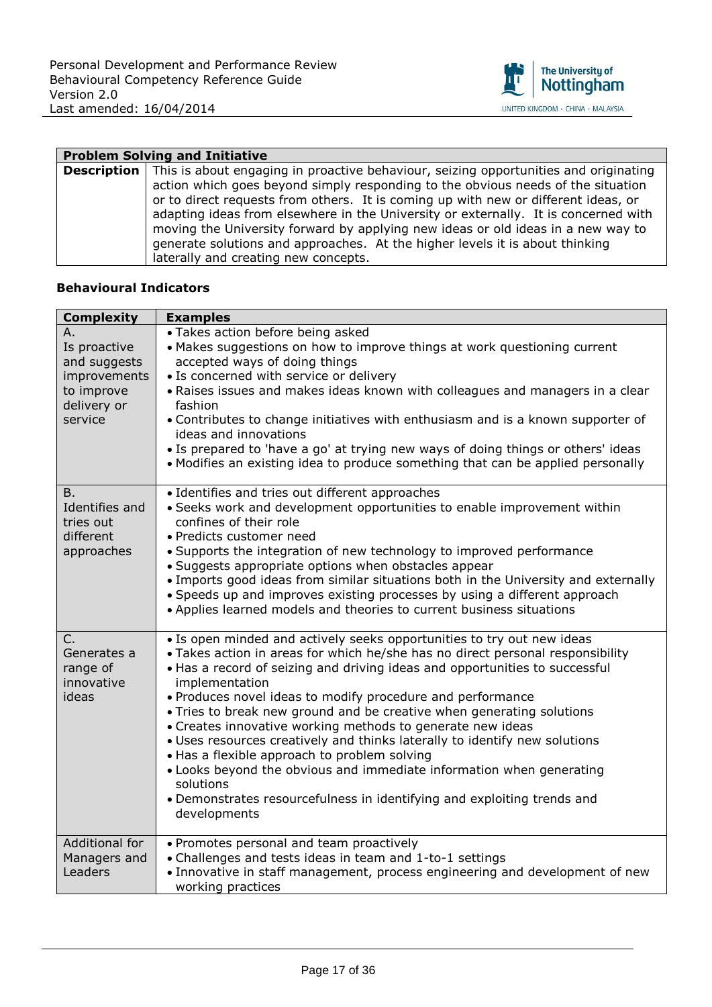

| <b>Problem Solving and Initiative</b> |                                                                                                         |
|---------------------------------------|---------------------------------------------------------------------------------------------------------|
|                                       | <b>Description</b> This is about engaging in proactive behaviour, seizing opportunities and originating |
|                                       | action which goes beyond simply responding to the obvious needs of the situation                        |
|                                       | or to direct requests from others. It is coming up with new or different ideas, or                      |
|                                       | adapting ideas from elsewhere in the University or externally. It is concerned with                     |
|                                       | moving the University forward by applying new ideas or old ideas in a new way to                        |
|                                       | generate solutions and approaches. At the higher levels it is about thinking                            |
|                                       | laterally and creating new concepts.                                                                    |

| <b>Complexity</b>                                                                          | <b>Examples</b>                                                                                                                                                                                                                                                                                                                                                                                                                                                                                                                                                                                                                                                                                                                                                              |
|--------------------------------------------------------------------------------------------|------------------------------------------------------------------------------------------------------------------------------------------------------------------------------------------------------------------------------------------------------------------------------------------------------------------------------------------------------------------------------------------------------------------------------------------------------------------------------------------------------------------------------------------------------------------------------------------------------------------------------------------------------------------------------------------------------------------------------------------------------------------------------|
| Α.<br>Is proactive<br>and suggests<br>improvements<br>to improve<br>delivery or<br>service | · Takes action before being asked<br>• Makes suggestions on how to improve things at work questioning current<br>accepted ways of doing things<br>· Is concerned with service or delivery<br>. Raises issues and makes ideas known with colleagues and managers in a clear<br>fashion<br>• Contributes to change initiatives with enthusiasm and is a known supporter of<br>ideas and innovations<br>. Is prepared to 'have a go' at trying new ways of doing things or others' ideas<br>• Modifies an existing idea to produce something that can be applied personally                                                                                                                                                                                                     |
| <b>B.</b><br>Identifies and<br>tries out<br>different<br>approaches                        | • Identifies and tries out different approaches<br>· Seeks work and development opportunities to enable improvement within<br>confines of their role<br>• Predicts customer need<br>• Supports the integration of new technology to improved performance<br>· Suggests appropriate options when obstacles appear<br>. Imports good ideas from similar situations both in the University and externally<br>• Speeds up and improves existing processes by using a different approach<br>• Applies learned models and theories to current business situations                                                                                                                                                                                                                  |
| C.<br>Generates a<br>range of<br>innovative<br>ideas                                       | · Is open minded and actively seeks opportunities to try out new ideas<br>· Takes action in areas for which he/she has no direct personal responsibility<br>. Has a record of seizing and driving ideas and opportunities to successful<br>implementation<br>. Produces novel ideas to modify procedure and performance<br>• Tries to break new ground and be creative when generating solutions<br>• Creates innovative working methods to generate new ideas<br>· Uses resources creatively and thinks laterally to identify new solutions<br>. Has a flexible approach to problem solving<br>. Looks beyond the obvious and immediate information when generating<br>solutions<br>• Demonstrates resourcefulness in identifying and exploiting trends and<br>developments |
| Additional for<br>Managers and<br>Leaders                                                  | • Promotes personal and team proactively<br>• Challenges and tests ideas in team and 1-to-1 settings<br>. Innovative in staff management, process engineering and development of new<br>working practices                                                                                                                                                                                                                                                                                                                                                                                                                                                                                                                                                                    |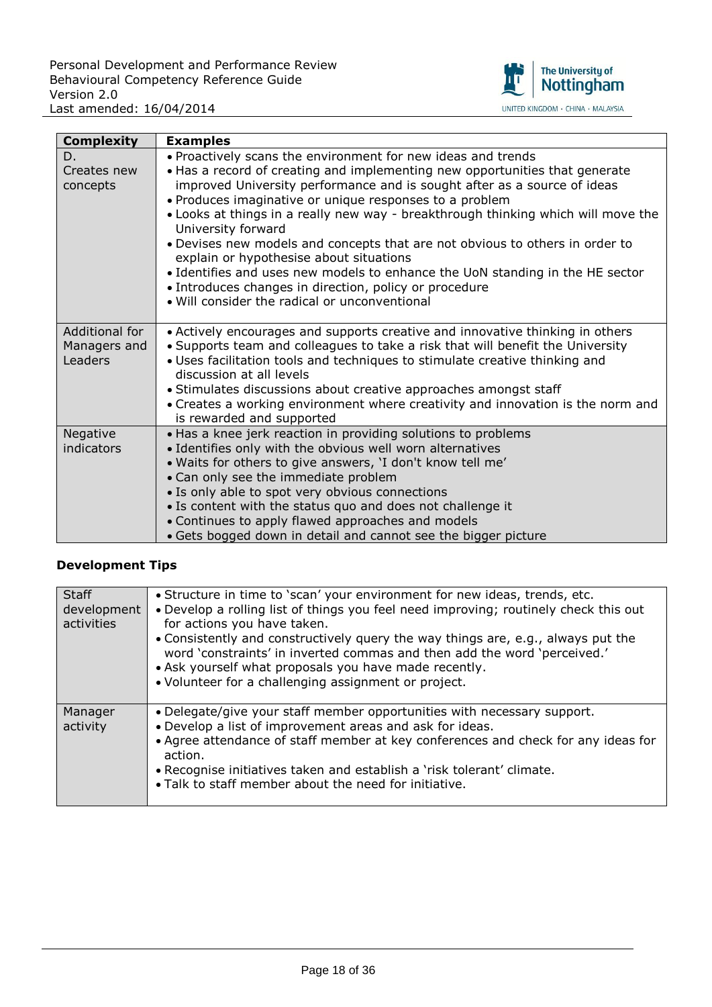

| <b>Complexity</b>                         | <b>Examples</b>                                                                                                                                                                                                                                                                                                                                                                                                                                                                                                                                                                                                                                                                                                      |
|-------------------------------------------|----------------------------------------------------------------------------------------------------------------------------------------------------------------------------------------------------------------------------------------------------------------------------------------------------------------------------------------------------------------------------------------------------------------------------------------------------------------------------------------------------------------------------------------------------------------------------------------------------------------------------------------------------------------------------------------------------------------------|
| D.<br>Creates new<br>concepts             | . Proactively scans the environment for new ideas and trends<br>• Has a record of creating and implementing new opportunities that generate<br>improved University performance and is sought after as a source of ideas<br>• Produces imaginative or unique responses to a problem<br>. Looks at things in a really new way - breakthrough thinking which will move the<br>University forward<br>. Devises new models and concepts that are not obvious to others in order to<br>explain or hypothesise about situations<br>• Identifies and uses new models to enhance the UoN standing in the HE sector<br>• Introduces changes in direction, policy or procedure<br>. Will consider the radical or unconventional |
| Additional for<br>Managers and<br>Leaders | • Actively encourages and supports creative and innovative thinking in others<br>• Supports team and colleagues to take a risk that will benefit the University<br>. Uses facilitation tools and techniques to stimulate creative thinking and<br>discussion at all levels<br>• Stimulates discussions about creative approaches amongst staff<br>• Creates a working environment where creativity and innovation is the norm and<br>is rewarded and supported                                                                                                                                                                                                                                                       |
| Negative<br>indicators                    | . Has a knee jerk reaction in providing solutions to problems<br>· Identifies only with the obvious well worn alternatives<br>. Waits for others to give answers, 'I don't know tell me'<br>• Can only see the immediate problem<br>• Is only able to spot very obvious connections<br>• Is content with the status quo and does not challenge it<br>• Continues to apply flawed approaches and models<br>• Gets bogged down in detail and cannot see the bigger picture                                                                                                                                                                                                                                             |

| <b>Staff</b><br>development<br>activities | . Structure in time to 'scan' your environment for new ideas, trends, etc.<br>. Develop a rolling list of things you feel need improving; routinely check this out<br>for actions you have taken.<br>. Consistently and constructively query the way things are, e.g., always put the<br>word 'constraints' in inverted commas and then add the word 'perceived.'<br>• Ask yourself what proposals you have made recently.<br>• Volunteer for a challenging assignment or project. |
|-------------------------------------------|------------------------------------------------------------------------------------------------------------------------------------------------------------------------------------------------------------------------------------------------------------------------------------------------------------------------------------------------------------------------------------------------------------------------------------------------------------------------------------|
| Manager<br>activity                       | . Delegate/give your staff member opportunities with necessary support.<br>. Develop a list of improvement areas and ask for ideas.<br>• Agree attendance of staff member at key conferences and check for any ideas for<br>action.<br>• Recognise initiatives taken and establish a 'risk tolerant' climate.<br>. Talk to staff member about the need for initiative.                                                                                                             |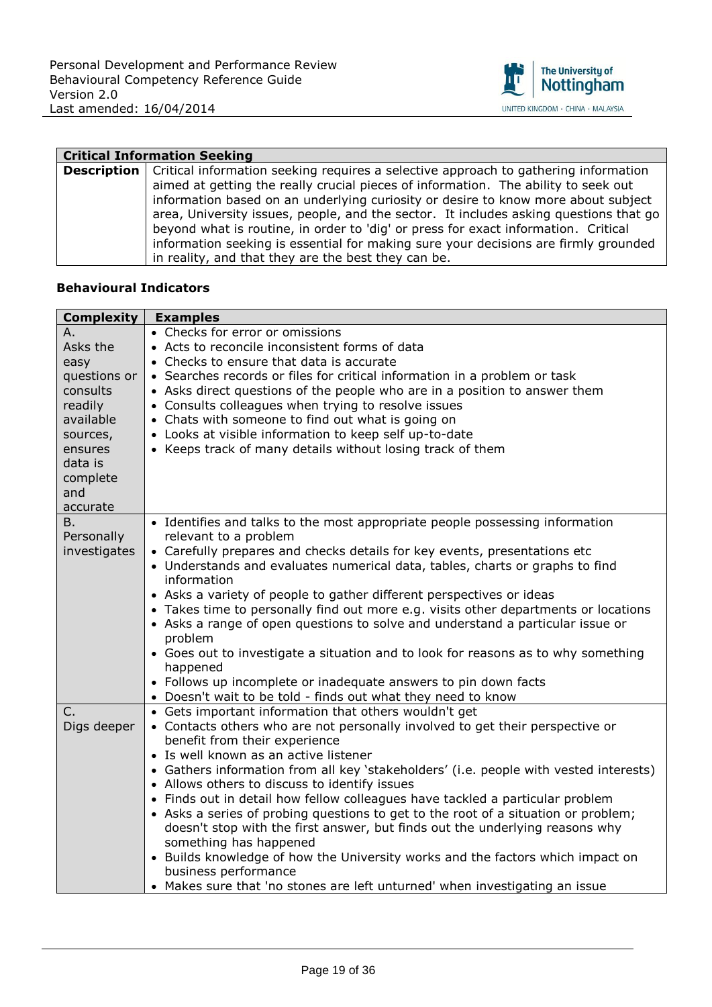

| <b>Critical Information Seeking</b> |                                                                                                          |
|-------------------------------------|----------------------------------------------------------------------------------------------------------|
|                                     | <b>Description</b>   Critical information seeking requires a selective approach to gathering information |
|                                     | aimed at getting the really crucial pieces of information. The ability to seek out                       |
|                                     | information based on an underlying curiosity or desire to know more about subject                        |
|                                     | area, University issues, people, and the sector. It includes asking questions that go                    |
|                                     | beyond what is routine, in order to 'dig' or press for exact information. Critical                       |
|                                     | information seeking is essential for making sure your decisions are firmly grounded                      |
|                                     | in reality, and that they are the best they can be.                                                      |

| <b>Complexity</b> | <b>Examples</b>                                                                       |
|-------------------|---------------------------------------------------------------------------------------|
| Α.                | • Checks for error or omissions                                                       |
| Asks the          | • Acts to reconcile inconsistent forms of data                                        |
| easy              | • Checks to ensure that data is accurate                                              |
| questions or      | • Searches records or files for critical information in a problem or task             |
| consults          | • Asks direct questions of the people who are in a position to answer them            |
| readily           | • Consults colleagues when trying to resolve issues                                   |
| available         | • Chats with someone to find out what is going on                                     |
| sources,          | • Looks at visible information to keep self up-to-date                                |
| ensures           | • Keeps track of many details without losing track of them                            |
| data is           |                                                                                       |
| complete          |                                                                                       |
| and               |                                                                                       |
| accurate          |                                                                                       |
| В.                | • Identifies and talks to the most appropriate people possessing information          |
| Personally        | relevant to a problem                                                                 |
| investigates      | • Carefully prepares and checks details for key events, presentations etc             |
|                   | • Understands and evaluates numerical data, tables, charts or graphs to find          |
|                   | information                                                                           |
|                   | • Asks a variety of people to gather different perspectives or ideas                  |
|                   | • Takes time to personally find out more e.g. visits other departments or locations   |
|                   | • Asks a range of open questions to solve and understand a particular issue or        |
|                   | problem                                                                               |
|                   | • Goes out to investigate a situation and to look for reasons as to why something     |
|                   | happened                                                                              |
|                   | • Follows up incomplete or inadequate answers to pin down facts                       |
|                   | • Doesn't wait to be told - finds out what they need to know                          |
| C.                | • Gets important information that others wouldn't get                                 |
| Digs deeper       | • Contacts others who are not personally involved to get their perspective or         |
|                   | benefit from their experience                                                         |
|                   | • Is well known as an active listener                                                 |
|                   | • Gathers information from all key 'stakeholders' (i.e. people with vested interests) |
|                   | • Allows others to discuss to identify issues                                         |
|                   | • Finds out in detail how fellow colleagues have tackled a particular problem         |
|                   | • Asks a series of probing questions to get to the root of a situation or problem;    |
|                   | doesn't stop with the first answer, but finds out the underlying reasons why          |
|                   | something has happened                                                                |
|                   | • Builds knowledge of how the University works and the factors which impact on        |
|                   | business performance                                                                  |
|                   | • Makes sure that 'no stones are left unturned' when investigating an issue           |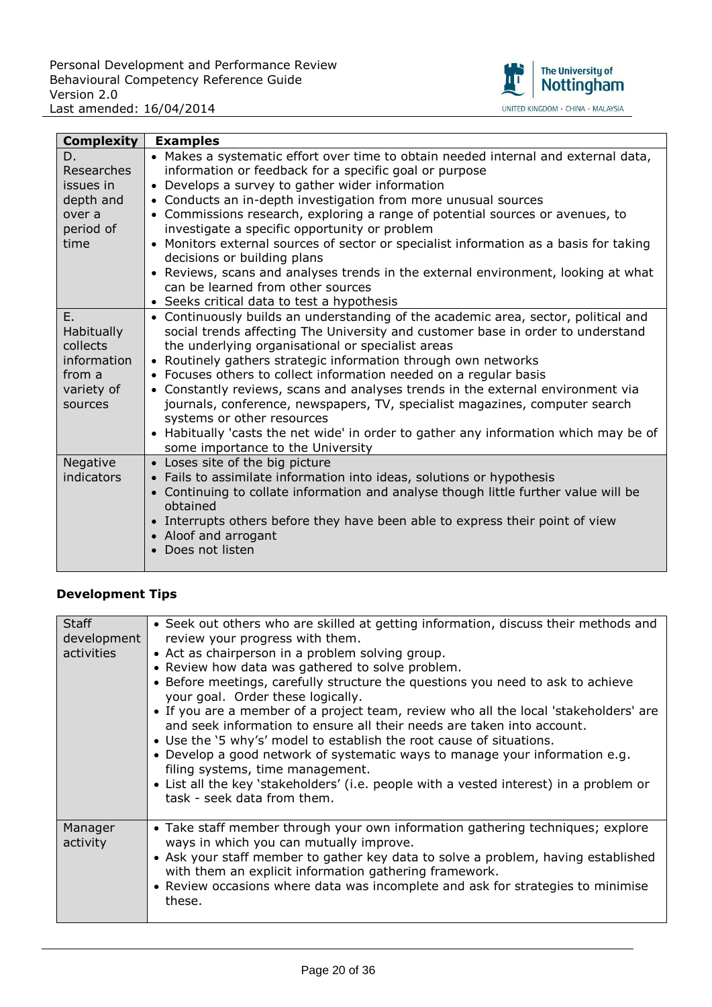

| <b>Complexity</b> | <b>Examples</b>                                                                                                      |
|-------------------|----------------------------------------------------------------------------------------------------------------------|
| D.                | • Makes a systematic effort over time to obtain needed internal and external data,                                   |
| <b>Researches</b> | information or feedback for a specific goal or purpose                                                               |
| issues in         | • Develops a survey to gather wider information                                                                      |
| depth and         | • Conducts an in-depth investigation from more unusual sources                                                       |
| over a            | • Commissions research, exploring a range of potential sources or avenues, to                                        |
| period of         | investigate a specific opportunity or problem                                                                        |
| time              | • Monitors external sources of sector or specialist information as a basis for taking<br>decisions or building plans |
|                   | • Reviews, scans and analyses trends in the external environment, looking at what                                    |
|                   | can be learned from other sources                                                                                    |
|                   | • Seeks critical data to test a hypothesis                                                                           |
| E.                | • Continuously builds an understanding of the academic area, sector, political and                                   |
| <b>Habitually</b> | social trends affecting The University and customer base in order to understand                                      |
| collects          | the underlying organisational or specialist areas                                                                    |
| information       | • Routinely gathers strategic information through own networks                                                       |
| from a            | • Focuses others to collect information needed on a regular basis                                                    |
| variety of        | • Constantly reviews, scans and analyses trends in the external environment via                                      |
| sources           | journals, conference, newspapers, TV, specialist magazines, computer search                                          |
|                   | systems or other resources                                                                                           |
|                   | • Habitually 'casts the net wide' in order to gather any information which may be of                                 |
|                   | some importance to the University                                                                                    |
| Negative          | • Loses site of the big picture                                                                                      |
| indicators        | • Fails to assimilate information into ideas, solutions or hypothesis                                                |
|                   | • Continuing to collate information and analyse though little further value will be                                  |
|                   | obtained                                                                                                             |
|                   | • Interrupts others before they have been able to express their point of view                                        |
|                   | • Aloof and arrogant<br>• Does not listen                                                                            |
|                   |                                                                                                                      |
|                   |                                                                                                                      |

| <b>Staff</b><br>development<br>activities | • Seek out others who are skilled at getting information, discuss their methods and<br>review your progress with them.<br>• Act as chairperson in a problem solving group.<br>• Review how data was gathered to solve problem.<br>• Before meetings, carefully structure the questions you need to ask to achieve<br>your goal. Order these logically.<br>• If you are a member of a project team, review who all the local 'stakeholders' are<br>and seek information to ensure all their needs are taken into account.<br>• Use the '5 why's' model to establish the root cause of situations.<br>. Develop a good network of systematic ways to manage your information e.g.<br>filing systems, time management.<br>• List all the key 'stakeholders' (i.e. people with a vested interest) in a problem or<br>task - seek data from them. |
|-------------------------------------------|----------------------------------------------------------------------------------------------------------------------------------------------------------------------------------------------------------------------------------------------------------------------------------------------------------------------------------------------------------------------------------------------------------------------------------------------------------------------------------------------------------------------------------------------------------------------------------------------------------------------------------------------------------------------------------------------------------------------------------------------------------------------------------------------------------------------------------------------|
| Manager<br>activity                       | • Take staff member through your own information gathering techniques; explore<br>ways in which you can mutually improve.<br>• Ask your staff member to gather key data to solve a problem, having established<br>with them an explicit information gathering framework.<br>• Review occasions where data was incomplete and ask for strategies to minimise<br>these.                                                                                                                                                                                                                                                                                                                                                                                                                                                                        |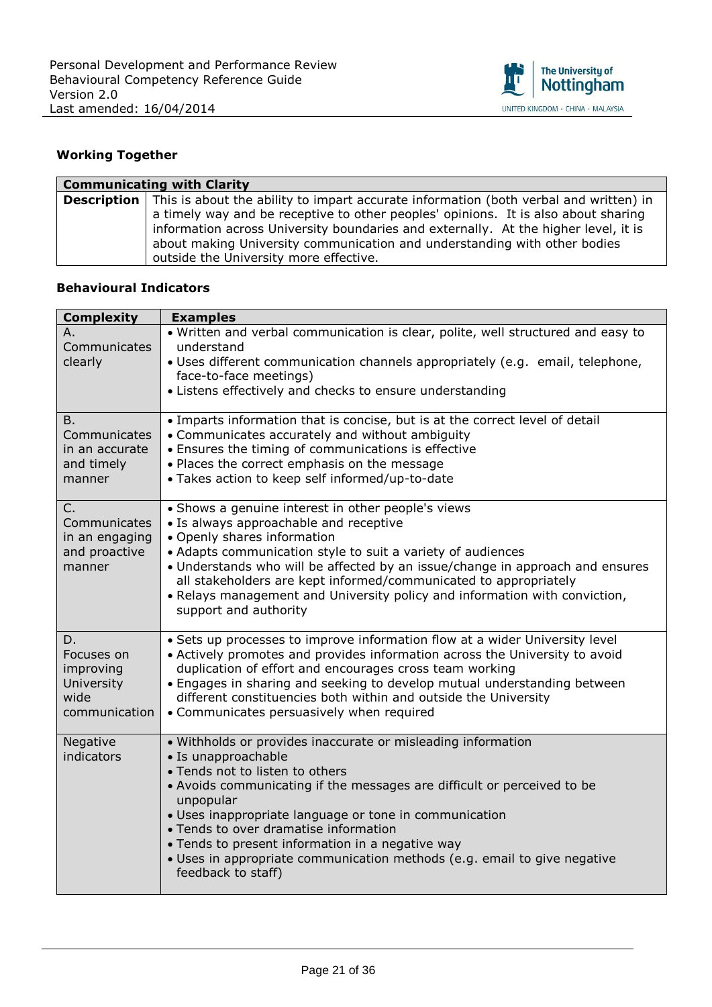

## **Working Together**

| <b>Communicating with Clarity</b> |                                                                                                                                                                                                                                                        |
|-----------------------------------|--------------------------------------------------------------------------------------------------------------------------------------------------------------------------------------------------------------------------------------------------------|
|                                   | <b>Description</b>   This is about the ability to impart accurate information (both verbal and written) in                                                                                                                                             |
|                                   | a timely way and be receptive to other peoples' opinions. It is also about sharing<br>information across University boundaries and externally. At the higher level, it is<br>about making University communication and understanding with other bodies |
|                                   | outside the University more effective.                                                                                                                                                                                                                 |

| <b>Complexity</b>                                                    | <b>Examples</b>                                                                                                                                                                                                                                                                                                                                                                                                                                                         |
|----------------------------------------------------------------------|-------------------------------------------------------------------------------------------------------------------------------------------------------------------------------------------------------------------------------------------------------------------------------------------------------------------------------------------------------------------------------------------------------------------------------------------------------------------------|
| Α.<br>Communicates<br>clearly                                        | . Written and verbal communication is clear, polite, well structured and easy to<br>understand<br>· Uses different communication channels appropriately (e.g. email, telephone,<br>face-to-face meetings)<br>• Listens effectively and checks to ensure understanding                                                                                                                                                                                                   |
| B.<br>Communicates<br>in an accurate<br>and timely<br>manner         | • Imparts information that is concise, but is at the correct level of detail<br>• Communicates accurately and without ambiguity<br>• Ensures the timing of communications is effective<br>. Places the correct emphasis on the message<br>· Takes action to keep self informed/up-to-date                                                                                                                                                                               |
| C.<br>Communicates<br>in an engaging<br>and proactive<br>manner      | • Shows a genuine interest in other people's views<br>• Is always approachable and receptive<br>• Openly shares information<br>• Adapts communication style to suit a variety of audiences<br>. Understands who will be affected by an issue/change in approach and ensures<br>all stakeholders are kept informed/communicated to appropriately<br>. Relays management and University policy and information with conviction,<br>support and authority                  |
| D.<br>Focuses on<br>improving<br>University<br>wide<br>communication | • Sets up processes to improve information flow at a wider University level<br>• Actively promotes and provides information across the University to avoid<br>duplication of effort and encourages cross team working<br>. Engages in sharing and seeking to develop mutual understanding between<br>different constituencies both within and outside the University<br>• Communicates persuasively when required                                                       |
| Negative<br>indicators                                               | · Withholds or provides inaccurate or misleading information<br>· Is unapproachable<br>• Tends not to listen to others<br>• Avoids communicating if the messages are difficult or perceived to be<br>unpopular<br>· Uses inappropriate language or tone in communication<br>• Tends to over dramatise information<br>• Tends to present information in a negative way<br>· Uses in appropriate communication methods (e.g. email to give negative<br>feedback to staff) |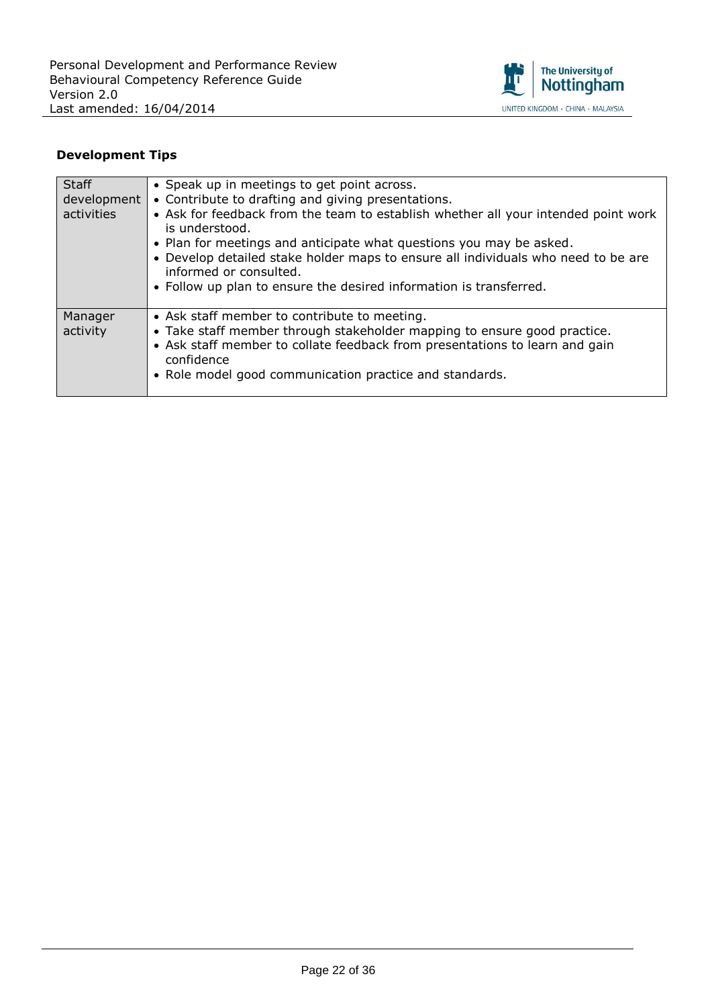

| <b>Staff</b><br>development<br>activities | • Speak up in meetings to get point across.<br>• Contribute to drafting and giving presentations.<br>• Ask for feedback from the team to establish whether all your intended point work<br>is understood.<br>. Plan for meetings and anticipate what questions you may be asked.<br>• Develop detailed stake holder maps to ensure all individuals who need to be are<br>informed or consulted.<br>• Follow up plan to ensure the desired information is transferred. |
|-------------------------------------------|-----------------------------------------------------------------------------------------------------------------------------------------------------------------------------------------------------------------------------------------------------------------------------------------------------------------------------------------------------------------------------------------------------------------------------------------------------------------------|
| Manager<br>activity                       | • Ask staff member to contribute to meeting.<br>• Take staff member through stakeholder mapping to ensure good practice.<br>• Ask staff member to collate feedback from presentations to learn and gain<br>confidence<br>• Role model good communication practice and standards.                                                                                                                                                                                      |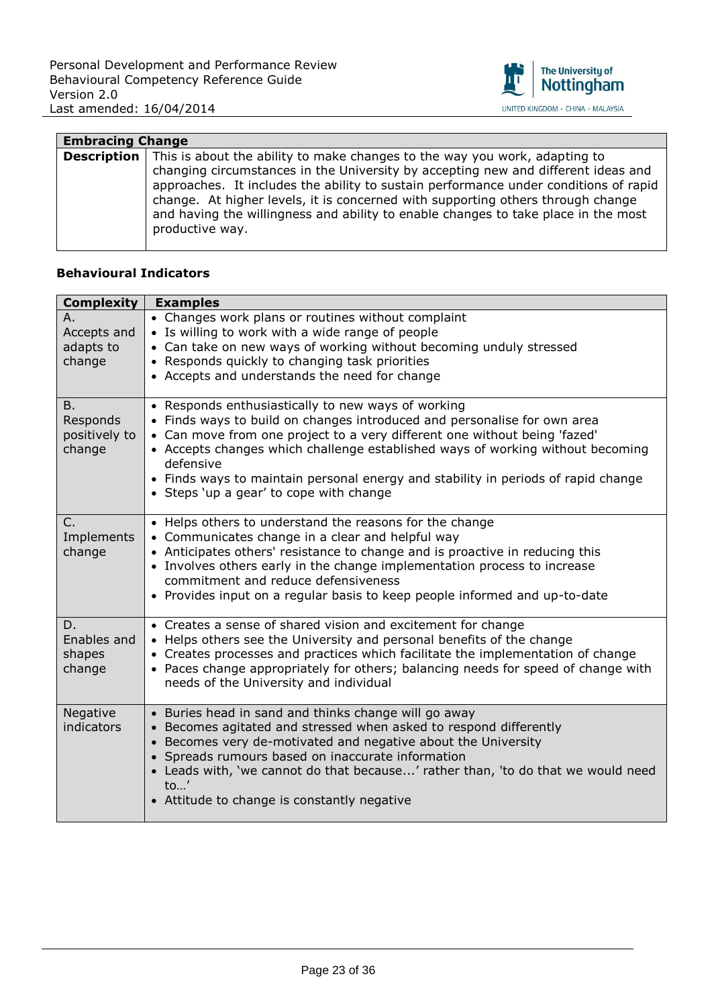

| <b>Embracing Change</b> |                                                                                                                                                                                                                                                                                                                                                                                                                                                     |
|-------------------------|-----------------------------------------------------------------------------------------------------------------------------------------------------------------------------------------------------------------------------------------------------------------------------------------------------------------------------------------------------------------------------------------------------------------------------------------------------|
| <b>Description</b>      | This is about the ability to make changes to the way you work, adapting to<br>changing circumstances in the University by accepting new and different ideas and<br>approaches. It includes the ability to sustain performance under conditions of rapid<br>change. At higher levels, it is concerned with supporting others through change<br>and having the willingness and ability to enable changes to take place in the most<br>productive way. |

| <b>Complexity</b> | <b>Examples</b>                                                                                                             |
|-------------------|-----------------------------------------------------------------------------------------------------------------------------|
| Α.                | • Changes work plans or routines without complaint                                                                          |
| Accepts and       | • Is willing to work with a wide range of people                                                                            |
| adapts to         | • Can take on new ways of working without becoming unduly stressed                                                          |
| change            | • Responds quickly to changing task priorities<br>• Accepts and understands the need for change                             |
|                   |                                                                                                                             |
| B.                | • Responds enthusiastically to new ways of working                                                                          |
| Responds          | • Finds ways to build on changes introduced and personalise for own area                                                    |
| positively to     | • Can move from one project to a very different one without being 'fazed'                                                   |
| change            | • Accepts changes which challenge established ways of working without becoming<br>defensive                                 |
|                   | • Finds ways to maintain personal energy and stability in periods of rapid change                                           |
|                   | • Steps 'up a gear' to cope with change                                                                                     |
| C.                | • Helps others to understand the reasons for the change                                                                     |
| Implements        | • Communicates change in a clear and helpful way                                                                            |
| change            | • Anticipates others' resistance to change and is proactive in reducing this                                                |
|                   | • Involves others early in the change implementation process to increase                                                    |
|                   | commitment and reduce defensiveness                                                                                         |
|                   | • Provides input on a regular basis to keep people informed and up-to-date                                                  |
| D.                | • Creates a sense of shared vision and excitement for change                                                                |
| Enables and       | • Helps others see the University and personal benefits of the change                                                       |
| shapes            | • Creates processes and practices which facilitate the implementation of change                                             |
| change            | • Paces change appropriately for others; balancing needs for speed of change with<br>needs of the University and individual |
|                   |                                                                                                                             |
| Negative          | • Buries head in sand and thinks change will go away                                                                        |
| indicators        | • Becomes agitated and stressed when asked to respond differently                                                           |
|                   | • Becomes very de-motivated and negative about the University<br>• Spreads rumours based on inaccurate information          |
|                   | • Leads with, 'we cannot do that because' rather than, 'to do that we would need                                            |
|                   | $\mathsf{to}$ '                                                                                                             |
|                   | • Attitude to change is constantly negative                                                                                 |
|                   |                                                                                                                             |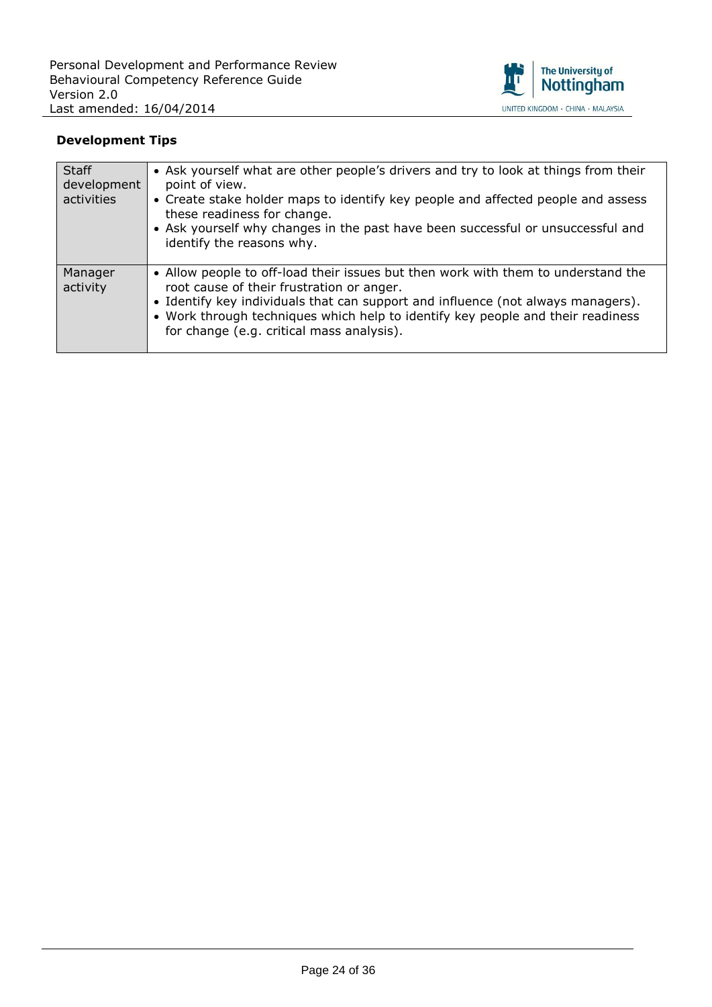

| <b>Staff</b><br>development<br>activities | • Ask yourself what are other people's drivers and try to look at things from their<br>point of view.<br>• Create stake holder maps to identify key people and affected people and assess<br>these readiness for change.<br>• Ask yourself why changes in the past have been successful or unsuccessful and<br>identify the reasons why.           |
|-------------------------------------------|----------------------------------------------------------------------------------------------------------------------------------------------------------------------------------------------------------------------------------------------------------------------------------------------------------------------------------------------------|
| Manager<br>activity                       | • Allow people to off-load their issues but then work with them to understand the<br>root cause of their frustration or anger.<br>• Identify key individuals that can support and influence (not always managers).<br>• Work through techniques which help to identify key people and their readiness<br>for change (e.g. critical mass analysis). |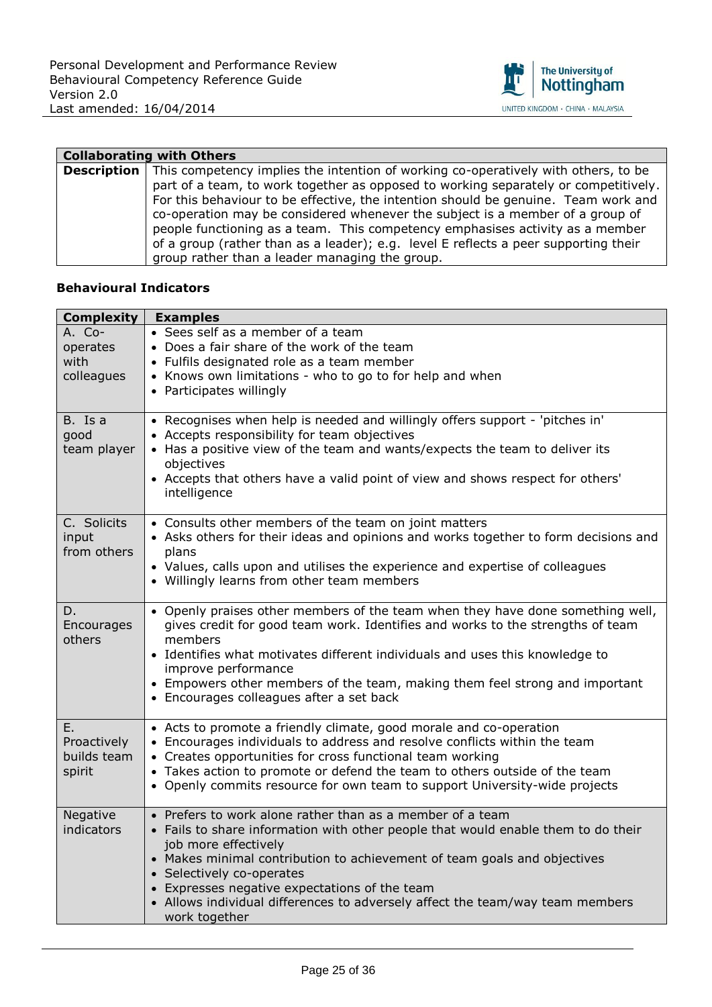

| <b>Collaborating with Others</b> |                                                                                                       |
|----------------------------------|-------------------------------------------------------------------------------------------------------|
|                                  | <b>Description</b> This competency implies the intention of working co-operatively with others, to be |
|                                  | part of a team, to work together as opposed to working separately or competitively.                   |
|                                  | For this behaviour to be effective, the intention should be genuine. Team work and                    |
|                                  | co-operation may be considered whenever the subject is a member of a group of                         |
|                                  | people functioning as a team. This competency emphasises activity as a member                         |
|                                  | of a group (rather than as a leader); e.g. level E reflects a peer supporting their                   |
|                                  | group rather than a leader managing the group.                                                        |

| <b>Complexity</b> | <b>Examples</b>                                                                              |
|-------------------|----------------------------------------------------------------------------------------------|
| A. Co-            | • Sees self as a member of a team                                                            |
| operates          | • Does a fair share of the work of the team                                                  |
| with              | • Fulfils designated role as a team member                                                   |
| colleagues        | • Knows own limitations - who to go to for help and when                                     |
|                   | • Participates willingly                                                                     |
|                   |                                                                                              |
| B. Is a           | • Recognises when help is needed and willingly offers support - 'pitches in'                 |
| good              | • Accepts responsibility for team objectives                                                 |
| team player       | • Has a positive view of the team and wants/expects the team to deliver its                  |
|                   | objectives<br>• Accepts that others have a valid point of view and shows respect for others' |
|                   | intelligence                                                                                 |
|                   |                                                                                              |
| C. Solicits       | • Consults other members of the team on joint matters                                        |
| input             | • Asks others for their ideas and opinions and works together to form decisions and          |
| from others       | plans                                                                                        |
|                   | • Values, calls upon and utilises the experience and expertise of colleagues                 |
|                   | • Willingly learns from other team members                                                   |
|                   |                                                                                              |
| D.                | • Openly praises other members of the team when they have done something well,               |
| Encourages        | gives credit for good team work. Identifies and works to the strengths of team               |
| others            | members<br>• Identifies what motivates different individuals and uses this knowledge to      |
|                   | improve performance                                                                          |
|                   | • Empowers other members of the team, making them feel strong and important                  |
|                   | • Encourages colleagues after a set back                                                     |
|                   |                                                                                              |
| Ε.                | • Acts to promote a friendly climate, good morale and co-operation                           |
| Proactively       | • Encourages individuals to address and resolve conflicts within the team                    |
| builds team       | • Creates opportunities for cross functional team working                                    |
| spirit            | • Takes action to promote or defend the team to others outside of the team                   |
|                   | • Openly commits resource for own team to support University-wide projects                   |
| Negative          | • Prefers to work alone rather than as a member of a team                                    |
| indicators        | • Fails to share information with other people that would enable them to do their            |
|                   | job more effectively                                                                         |
|                   | • Makes minimal contribution to achievement of team goals and objectives                     |
|                   | • Selectively co-operates                                                                    |
|                   | • Expresses negative expectations of the team                                                |
|                   | • Allows individual differences to adversely affect the team/way team members                |
|                   | work together                                                                                |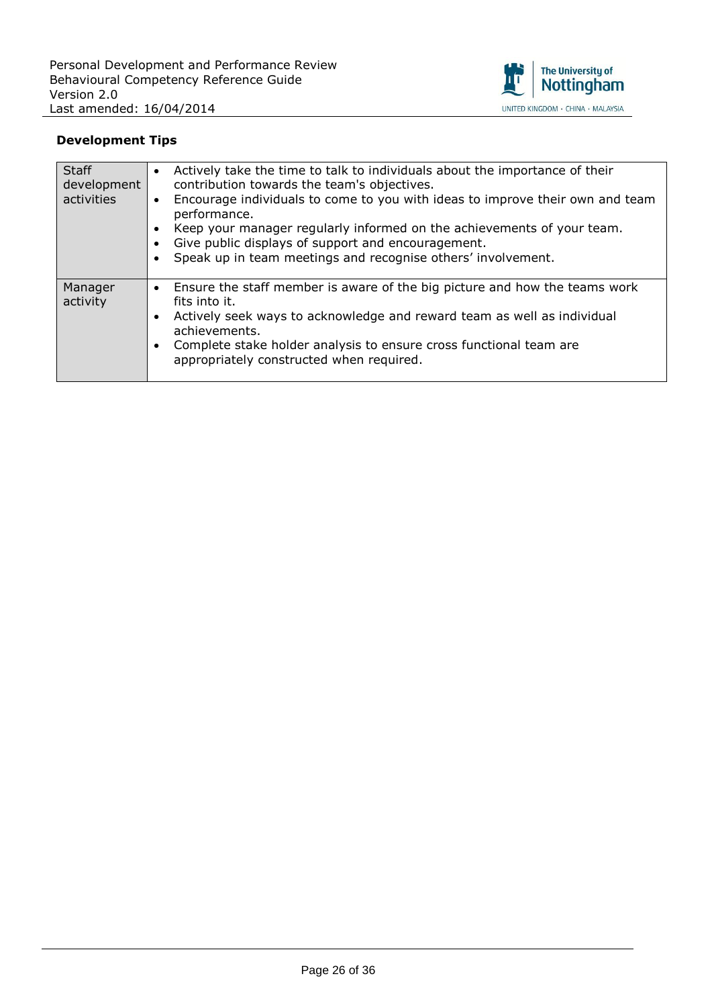

| <b>Staff</b><br>development<br>activities | Actively take the time to talk to individuals about the importance of their<br>$\bullet$<br>contribution towards the team's objectives.<br>Encourage individuals to come to you with ideas to improve their own and team<br>$\bullet$<br>performance.<br>Keep your manager regularly informed on the achievements of your team.<br>$\bullet$<br>Give public displays of support and encouragement.<br>$\bullet$<br>Speak up in team meetings and recognise others' involvement.<br>$\bullet$ |
|-------------------------------------------|----------------------------------------------------------------------------------------------------------------------------------------------------------------------------------------------------------------------------------------------------------------------------------------------------------------------------------------------------------------------------------------------------------------------------------------------------------------------------------------------|
| Manager<br>activity                       | Ensure the staff member is aware of the big picture and how the teams work<br>$\bullet$<br>fits into it.<br>Actively seek ways to acknowledge and reward team as well as individual<br>$\bullet$<br>achievements.<br>Complete stake holder analysis to ensure cross functional team are<br>$\bullet$<br>appropriately constructed when required.                                                                                                                                             |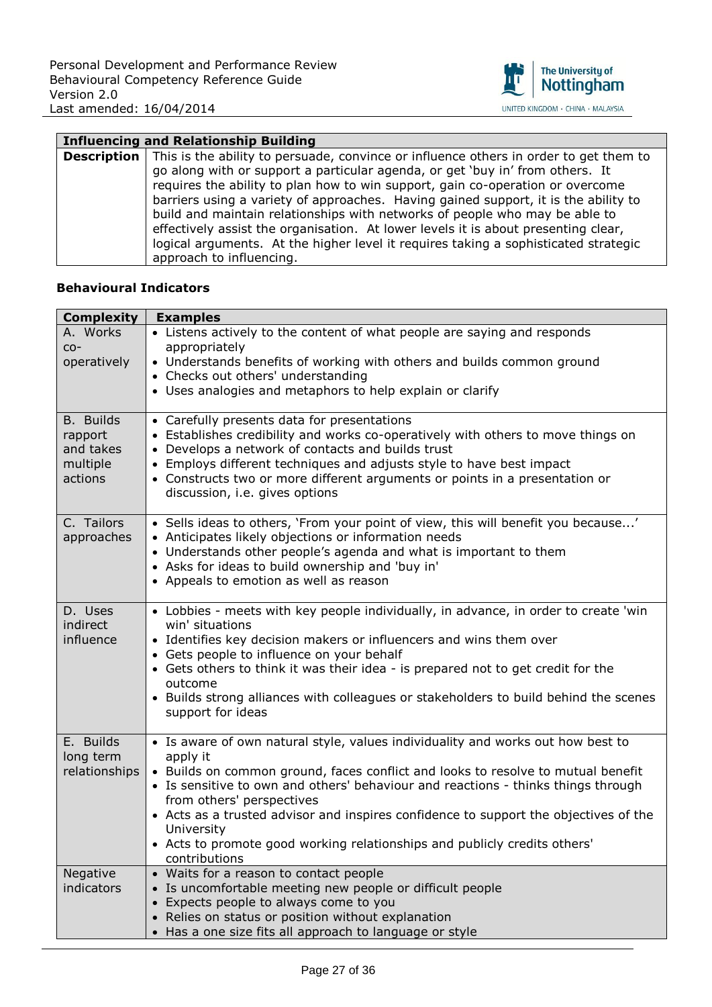

| <b>Influencing and Relationship Building</b> |                                                                                       |
|----------------------------------------------|---------------------------------------------------------------------------------------|
| <b>Description</b>                           | This is the ability to persuade, convince or influence others in order to get them to |
|                                              | go along with or support a particular agenda, or get 'buy in' from others. It         |
|                                              | requires the ability to plan how to win support, gain co-operation or overcome        |
|                                              | barriers using a variety of approaches. Having gained support, it is the ability to   |
|                                              | build and maintain relationships with networks of people who may be able to           |
|                                              | effectively assist the organisation. At lower levels it is about presenting clear,    |
|                                              | logical arguments. At the higher level it requires taking a sophisticated strategic   |
|                                              | approach to influencing.                                                              |

| <b>Complexity</b>                                               | <b>Examples</b>                                                                                                                                                                                                                                                                                                                             |
|-----------------------------------------------------------------|---------------------------------------------------------------------------------------------------------------------------------------------------------------------------------------------------------------------------------------------------------------------------------------------------------------------------------------------|
| A. Works                                                        | • Listens actively to the content of what people are saying and responds                                                                                                                                                                                                                                                                    |
| $CO-$                                                           | appropriately                                                                                                                                                                                                                                                                                                                               |
| operatively                                                     | • Understands benefits of working with others and builds common ground                                                                                                                                                                                                                                                                      |
|                                                                 | • Checks out others' understanding                                                                                                                                                                                                                                                                                                          |
|                                                                 | • Uses analogies and metaphors to help explain or clarify                                                                                                                                                                                                                                                                                   |
| <b>B.</b> Builds<br>rapport<br>and takes<br>multiple<br>actions | • Carefully presents data for presentations<br>• Establishes credibility and works co-operatively with others to move things on<br>• Develops a network of contacts and builds trust<br>• Employs different techniques and adjusts style to have best impact<br>• Constructs two or more different arguments or points in a presentation or |
|                                                                 | discussion, i.e. gives options                                                                                                                                                                                                                                                                                                              |
| C. Tailors<br>approaches                                        | • Sells ideas to others, 'From your point of view, this will benefit you because'<br>• Anticipates likely objections or information needs<br>• Understands other people's agenda and what is important to them<br>• Asks for ideas to build ownership and 'buy in'<br>• Appeals to emotion as well as reason                                |
| D. Uses                                                         | • Lobbies - meets with key people individually, in advance, in order to create 'win                                                                                                                                                                                                                                                         |
| indirect                                                        | win' situations                                                                                                                                                                                                                                                                                                                             |
| influence                                                       | • Identifies key decision makers or influencers and wins them over                                                                                                                                                                                                                                                                          |
|                                                                 | • Gets people to influence on your behalf<br>• Gets others to think it was their idea - is prepared not to get credit for the<br>outcome                                                                                                                                                                                                    |
|                                                                 | • Builds strong alliances with colleagues or stakeholders to build behind the scenes<br>support for ideas                                                                                                                                                                                                                                   |
| E. Builds<br>long term                                          | • Is aware of own natural style, values individuality and works out how best to<br>apply it                                                                                                                                                                                                                                                 |
| relationships                                                   | • Builds on common ground, faces conflict and looks to resolve to mutual benefit<br>• Is sensitive to own and others' behaviour and reactions - thinks things through<br>from others' perspectives                                                                                                                                          |
|                                                                 | • Acts as a trusted advisor and inspires confidence to support the objectives of the                                                                                                                                                                                                                                                        |
|                                                                 | University<br>• Acts to promote good working relationships and publicly credits others'<br>contributions                                                                                                                                                                                                                                    |
| Negative                                                        | • Waits for a reason to contact people                                                                                                                                                                                                                                                                                                      |
| indicators                                                      | • Is uncomfortable meeting new people or difficult people                                                                                                                                                                                                                                                                                   |
|                                                                 | • Expects people to always come to you                                                                                                                                                                                                                                                                                                      |
|                                                                 | • Relies on status or position without explanation<br>• Has a one size fits all approach to language or style                                                                                                                                                                                                                               |
|                                                                 |                                                                                                                                                                                                                                                                                                                                             |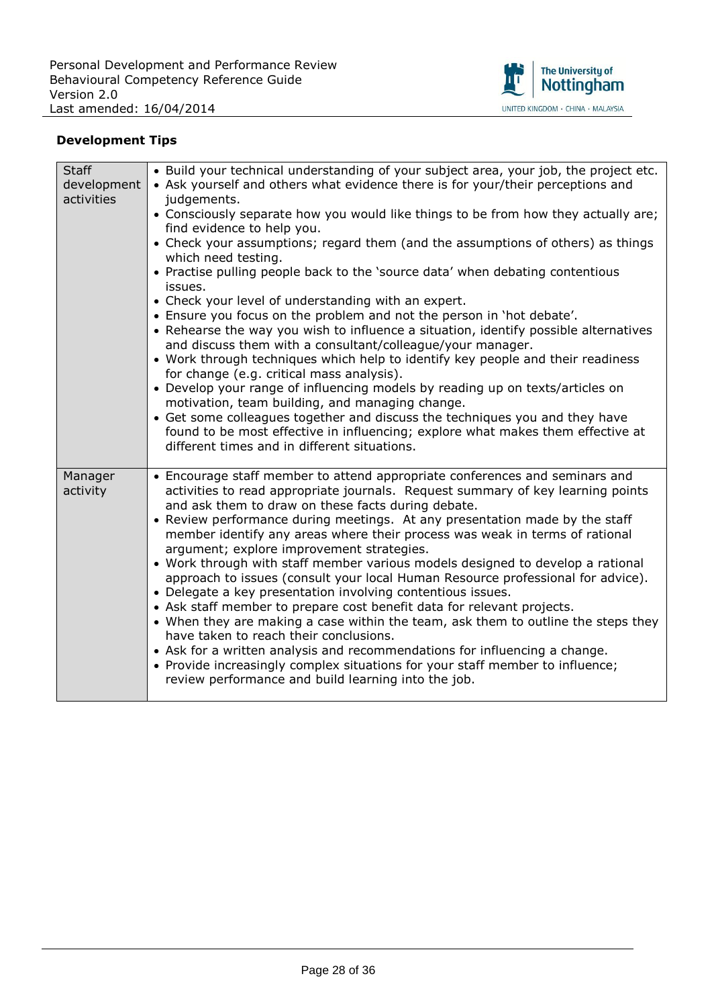

| <b>Staff</b><br>development<br>activities | • Build your technical understanding of your subject area, your job, the project etc.<br>• Ask yourself and others what evidence there is for your/their perceptions and<br>judgements.<br>• Consciously separate how you would like things to be from how they actually are;<br>find evidence to help you.<br>• Check your assumptions; regard them (and the assumptions of others) as things<br>which need testing.<br>• Practise pulling people back to the 'source data' when debating contentious<br>issues.<br>• Check your level of understanding with an expert.<br>. Ensure you focus on the problem and not the person in 'hot debate'.<br>• Rehearse the way you wish to influence a situation, identify possible alternatives<br>and discuss them with a consultant/colleague/your manager.<br>• Work through techniques which help to identify key people and their readiness<br>for change (e.g. critical mass analysis).<br>• Develop your range of influencing models by reading up on texts/articles on<br>motivation, team building, and managing change.<br>• Get some colleagues together and discuss the techniques you and they have<br>found to be most effective in influencing; explore what makes them effective at<br>different times and in different situations. |
|-------------------------------------------|-----------------------------------------------------------------------------------------------------------------------------------------------------------------------------------------------------------------------------------------------------------------------------------------------------------------------------------------------------------------------------------------------------------------------------------------------------------------------------------------------------------------------------------------------------------------------------------------------------------------------------------------------------------------------------------------------------------------------------------------------------------------------------------------------------------------------------------------------------------------------------------------------------------------------------------------------------------------------------------------------------------------------------------------------------------------------------------------------------------------------------------------------------------------------------------------------------------------------------------------------------------------------------------------------|
| Manager<br>activity                       | • Encourage staff member to attend appropriate conferences and seminars and<br>activities to read appropriate journals. Request summary of key learning points<br>and ask them to draw on these facts during debate.<br>• Review performance during meetings. At any presentation made by the staff<br>member identify any areas where their process was weak in terms of rational<br>argument; explore improvement strategies.<br>. Work through with staff member various models designed to develop a rational<br>approach to issues (consult your local Human Resource professional for advice).<br>• Delegate a key presentation involving contentious issues.<br>• Ask staff member to prepare cost benefit data for relevant projects.<br>• When they are making a case within the team, ask them to outline the steps they<br>have taken to reach their conclusions.<br>• Ask for a written analysis and recommendations for influencing a change.<br>• Provide increasingly complex situations for your staff member to influence;<br>review performance and build learning into the job.                                                                                                                                                                                            |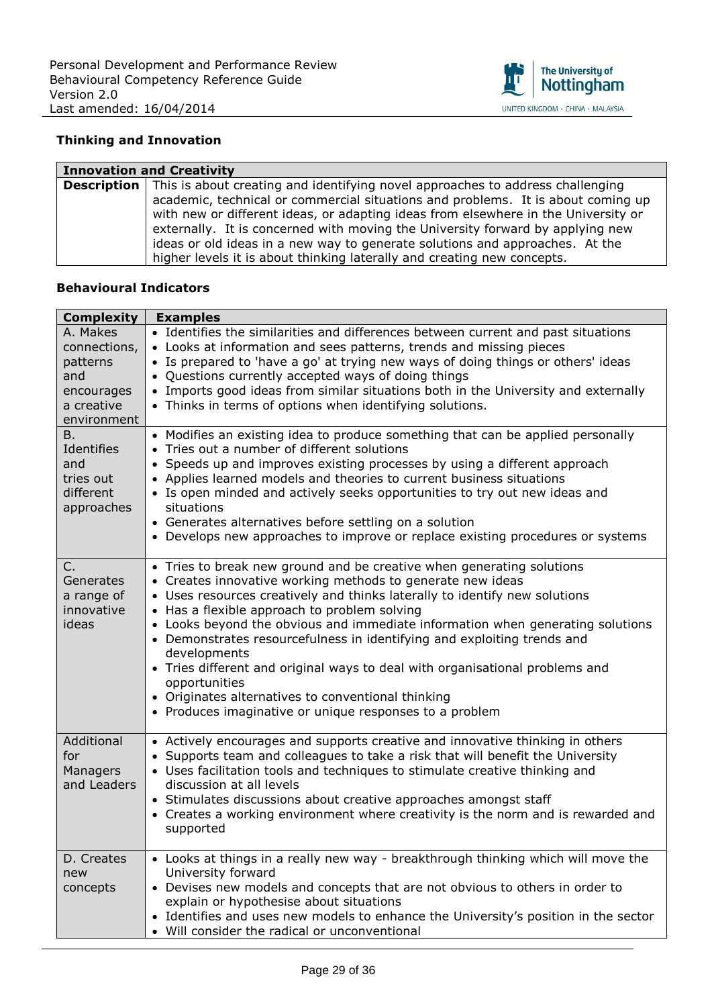

## **Thinking and Innovation**

| <b>Innovation and Creativity</b> |                                                                                                                                                                                                                                                                                                                                                                                                                     |
|----------------------------------|---------------------------------------------------------------------------------------------------------------------------------------------------------------------------------------------------------------------------------------------------------------------------------------------------------------------------------------------------------------------------------------------------------------------|
|                                  | <b>Description</b> This is about creating and identifying novel approaches to address challenging                                                                                                                                                                                                                                                                                                                   |
|                                  | academic, technical or commercial situations and problems. It is about coming up<br>with new or different ideas, or adapting ideas from elsewhere in the University or<br>externally. It is concerned with moving the University forward by applying new<br>ideas or old ideas in a new way to generate solutions and approaches. At the<br>higher levels it is about thinking laterally and creating new concepts. |

| <b>Complexity</b>                                               | <b>Examples</b>                                                                                                                                                                                                                                                                                                                                                                                                                                                                                                                                                                                                                                                  |
|-----------------------------------------------------------------|------------------------------------------------------------------------------------------------------------------------------------------------------------------------------------------------------------------------------------------------------------------------------------------------------------------------------------------------------------------------------------------------------------------------------------------------------------------------------------------------------------------------------------------------------------------------------------------------------------------------------------------------------------------|
| A. Makes<br>connections,<br>patterns<br>and                     | • Identifies the similarities and differences between current and past situations<br>• Looks at information and sees patterns, trends and missing pieces<br>• Is prepared to 'have a go' at trying new ways of doing things or others' ideas<br>• Questions currently accepted ways of doing things                                                                                                                                                                                                                                                                                                                                                              |
| encourages<br>a creative<br>environment                         | • Imports good ideas from similar situations both in the University and externally<br>• Thinks in terms of options when identifying solutions.                                                                                                                                                                                                                                                                                                                                                                                                                                                                                                                   |
| Β.<br>Identifies<br>and<br>tries out<br>different<br>approaches | • Modifies an existing idea to produce something that can be applied personally<br>• Tries out a number of different solutions<br>• Speeds up and improves existing processes by using a different approach<br>• Applies learned models and theories to current business situations<br>• Is open minded and actively seeks opportunities to try out new ideas and<br>situations<br>• Generates alternatives before settling on a solution<br>• Develops new approaches to improve or replace existing procedures or systems                                                                                                                                      |
| C.<br>Generates<br>a range of<br>innovative<br>ideas            | • Tries to break new ground and be creative when generating solutions<br>• Creates innovative working methods to generate new ideas<br>• Uses resources creatively and thinks laterally to identify new solutions<br>• Has a flexible approach to problem solving<br>• Looks beyond the obvious and immediate information when generating solutions<br>• Demonstrates resourcefulness in identifying and exploiting trends and<br>developments<br>• Tries different and original ways to deal with organisational problems and<br>opportunities<br>• Originates alternatives to conventional thinking<br>• Produces imaginative or unique responses to a problem |
| Additional<br>for<br>Managers<br>and Leaders                    | • Actively encourages and supports creative and innovative thinking in others<br>• Supports team and colleagues to take a risk that will benefit the University<br>• Uses facilitation tools and techniques to stimulate creative thinking and<br>discussion at all levels<br>• Stimulates discussions about creative approaches amongst staff<br>• Creates a working environment where creativity is the norm and is rewarded and<br>supported                                                                                                                                                                                                                  |
| D. Creates<br>new<br>concepts                                   | • Looks at things in a really new way - breakthrough thinking which will move the<br>University forward<br>• Devises new models and concepts that are not obvious to others in order to<br>explain or hypothesise about situations<br>• Identifies and uses new models to enhance the University's position in the sector<br>• Will consider the radical or unconventional                                                                                                                                                                                                                                                                                       |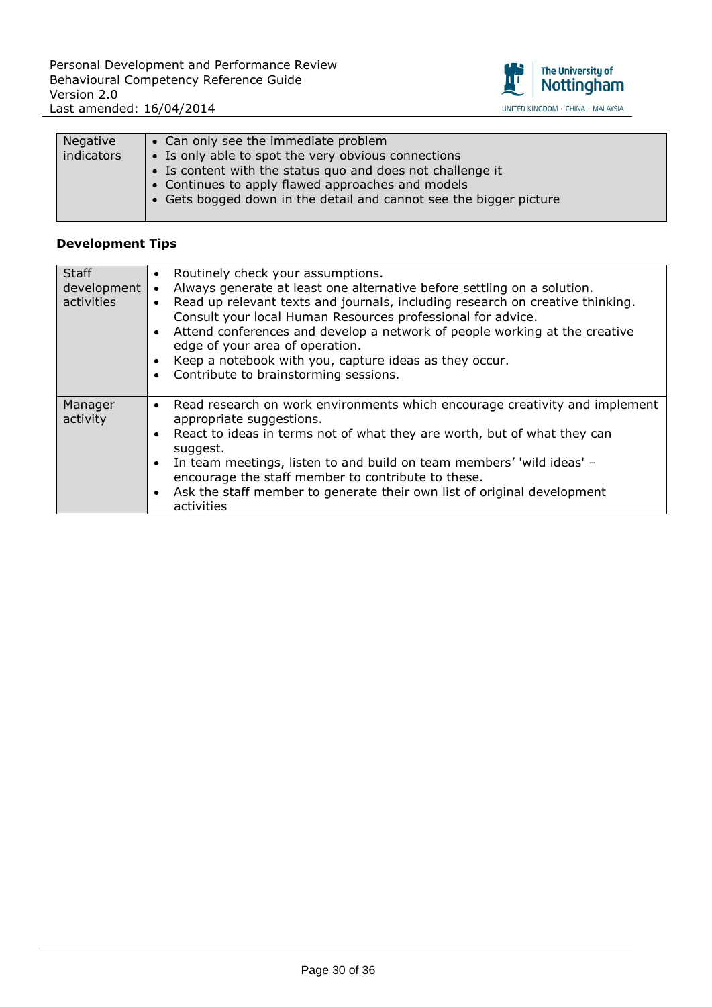

| Negative<br>indicators | • Can only see the immediate problem<br>• Is only able to spot the very obvious connections<br>• Is content with the status quo and does not challenge it |
|------------------------|-----------------------------------------------------------------------------------------------------------------------------------------------------------|
|                        | • Continues to apply flawed approaches and models<br>• Gets bogged down in the detail and cannot see the bigger picture                                   |

| <b>Staff</b><br>development<br>activities | • Routinely check your assumptions.<br>Always generate at least one alternative before settling on a solution.<br>$\bullet$<br>Read up relevant texts and journals, including research on creative thinking.<br>$\bullet$<br>Consult your local Human Resources professional for advice.<br>Attend conferences and develop a network of people working at the creative<br>$\bullet$<br>edge of your area of operation.<br>Keep a notebook with you, capture ideas as they occur.<br>Contribute to brainstorming sessions. |
|-------------------------------------------|---------------------------------------------------------------------------------------------------------------------------------------------------------------------------------------------------------------------------------------------------------------------------------------------------------------------------------------------------------------------------------------------------------------------------------------------------------------------------------------------------------------------------|
| Manager<br>activity                       | Read research on work environments which encourage creativity and implement<br>$\bullet$<br>appropriate suggestions.<br>React to ideas in terms not of what they are worth, but of what they can<br>suggest.<br>In team meetings, listen to and build on team members' 'wild ideas' -<br>$\bullet$<br>encourage the staff member to contribute to these.<br>Ask the staff member to generate their own list of original development<br>$\bullet$<br>activities                                                            |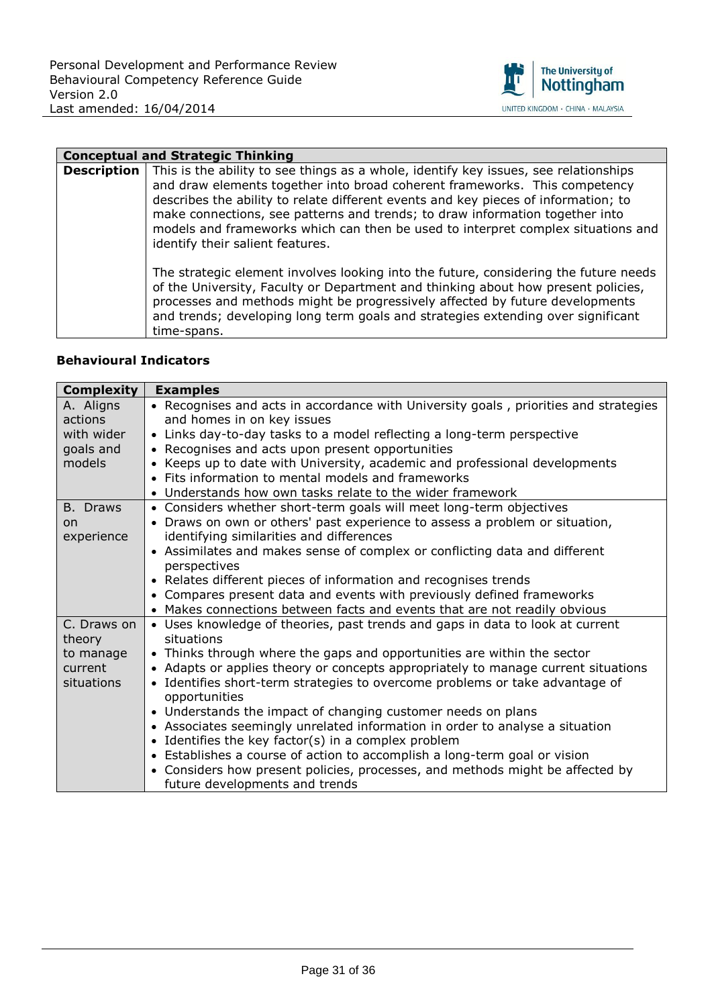

#### **Conceptual and Strategic Thinking**

**Description** This is the ability to see things as a whole, identify key issues, see relationships and draw elements together into broad coherent frameworks. This competency describes the ability to relate different events and key pieces of information; to make connections, see patterns and trends; to draw information together into models and frameworks which can then be used to interpret complex situations and identify their salient features.

> The strategic element involves looking into the future, considering the future needs of the University, Faculty or Department and thinking about how present policies, processes and methods might be progressively affected by future developments and trends; developing long term goals and strategies extending over significant time-spans.

| <b>Complexity</b> | <b>Examples</b>                                                                      |
|-------------------|--------------------------------------------------------------------------------------|
| A. Aligns         | • Recognises and acts in accordance with University goals, priorities and strategies |
| actions           | and homes in on key issues                                                           |
| with wider        | • Links day-to-day tasks to a model reflecting a long-term perspective               |
| goals and         | • Recognises and acts upon present opportunities                                     |
| models            | • Keeps up to date with University, academic and professional developments           |
|                   | • Fits information to mental models and frameworks                                   |
|                   | • Understands how own tasks relate to the wider framework                            |
| B. Draws          | • Considers whether short-term goals will meet long-term objectives                  |
| on                | • Draws on own or others' past experience to assess a problem or situation,          |
| experience        | identifying similarities and differences                                             |
|                   | • Assimilates and makes sense of complex or conflicting data and different           |
|                   | perspectives                                                                         |
|                   | • Relates different pieces of information and recognises trends                      |
|                   | • Compares present data and events with previously defined frameworks                |
|                   | • Makes connections between facts and events that are not readily obvious            |
| C. Draws on       | • Uses knowledge of theories, past trends and gaps in data to look at current        |
| theory            | situations                                                                           |
| to manage         | • Thinks through where the gaps and opportunities are within the sector              |
| current           | • Adapts or applies theory or concepts appropriately to manage current situations    |
| situations        | • Identifies short-term strategies to overcome problems or take advantage of         |
|                   | opportunities                                                                        |
|                   | • Understands the impact of changing customer needs on plans                         |
|                   | • Associates seemingly unrelated information in order to analyse a situation         |
|                   | • Identifies the key factor(s) in a complex problem                                  |
|                   | • Establishes a course of action to accomplish a long-term goal or vision            |
|                   | • Considers how present policies, processes, and methods might be affected by        |
|                   | future developments and trends                                                       |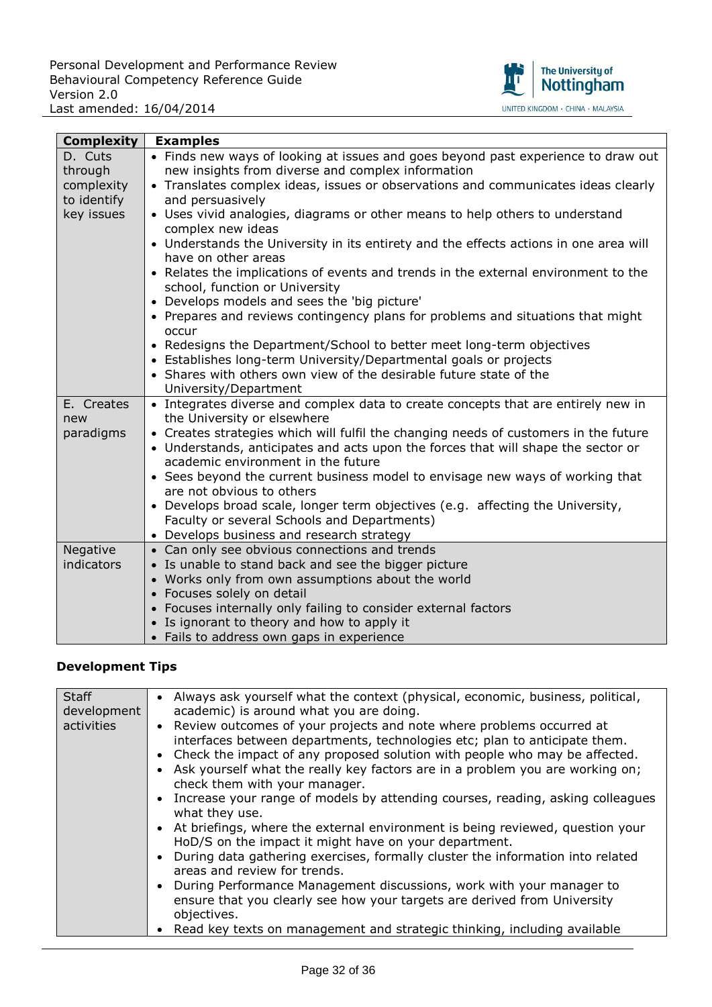

| <b>Complexity</b> | <b>Examples</b>                                                                                                      |
|-------------------|----------------------------------------------------------------------------------------------------------------------|
| D. Cuts           | • Finds new ways of looking at issues and goes beyond past experience to draw out                                    |
| through           | new insights from diverse and complex information                                                                    |
| complexity        | • Translates complex ideas, issues or observations and communicates ideas clearly                                    |
| to identify       | and persuasively                                                                                                     |
| key issues        | • Uses vivid analogies, diagrams or other means to help others to understand                                         |
|                   | complex new ideas                                                                                                    |
|                   | • Understands the University in its entirety and the effects actions in one area will                                |
|                   | have on other areas                                                                                                  |
|                   | • Relates the implications of events and trends in the external environment to the<br>school, function or University |
|                   | • Develops models and sees the 'big picture'                                                                         |
|                   | • Prepares and reviews contingency plans for problems and situations that might                                      |
|                   | occur                                                                                                                |
|                   | • Redesigns the Department/School to better meet long-term objectives                                                |
|                   | • Establishes long-term University/Departmental goals or projects                                                    |
|                   | • Shares with others own view of the desirable future state of the                                                   |
|                   | University/Department                                                                                                |
| E. Creates        | • Integrates diverse and complex data to create concepts that are entirely new in                                    |
| new               | the University or elsewhere                                                                                          |
| paradigms         | • Creates strategies which will fulfil the changing needs of customers in the future                                 |
|                   | • Understands, anticipates and acts upon the forces that will shape the sector or                                    |
|                   | academic environment in the future                                                                                   |
|                   | • Sees beyond the current business model to envisage new ways of working that<br>are not obvious to others           |
|                   | • Develops broad scale, longer term objectives (e.g. affecting the University,                                       |
|                   | Faculty or several Schools and Departments)                                                                          |
|                   | • Develops business and research strategy                                                                            |
| Negative          | • Can only see obvious connections and trends                                                                        |
| indicators        | • Is unable to stand back and see the bigger picture                                                                 |
|                   | • Works only from own assumptions about the world                                                                    |
|                   | • Focuses solely on detail                                                                                           |
|                   | • Focuses internally only failing to consider external factors                                                       |
|                   | • Is ignorant to theory and how to apply it                                                                          |
|                   | • Fails to address own gaps in experience                                                                            |

| <b>Staff</b><br>development<br>activities | • Always ask yourself what the context (physical, economic, business, political,<br>academic) is around what you are doing.<br>• Review outcomes of your projects and note where problems occurred at<br>interfaces between departments, technologies etc; plan to anticipate them.<br>• Check the impact of any proposed solution with people who may be affected.<br>• Ask yourself what the really key factors are in a problem you are working on;<br>check them with your manager.<br>• Increase your range of models by attending courses, reading, asking colleagues<br>what they use.<br>• At briefings, where the external environment is being reviewed, question your<br>HoD/S on the impact it might have on your department.<br>During data gathering exercises, formally cluster the information into related<br>areas and review for trends.<br>During Performance Management discussions, work with your manager to<br>ensure that you clearly see how your targets are derived from University<br>objectives.<br>Read key texts on management and strategic thinking, including available |
|-------------------------------------------|------------------------------------------------------------------------------------------------------------------------------------------------------------------------------------------------------------------------------------------------------------------------------------------------------------------------------------------------------------------------------------------------------------------------------------------------------------------------------------------------------------------------------------------------------------------------------------------------------------------------------------------------------------------------------------------------------------------------------------------------------------------------------------------------------------------------------------------------------------------------------------------------------------------------------------------------------------------------------------------------------------------------------------------------------------------------------------------------------------|
|                                           |                                                                                                                                                                                                                                                                                                                                                                                                                                                                                                                                                                                                                                                                                                                                                                                                                                                                                                                                                                                                                                                                                                            |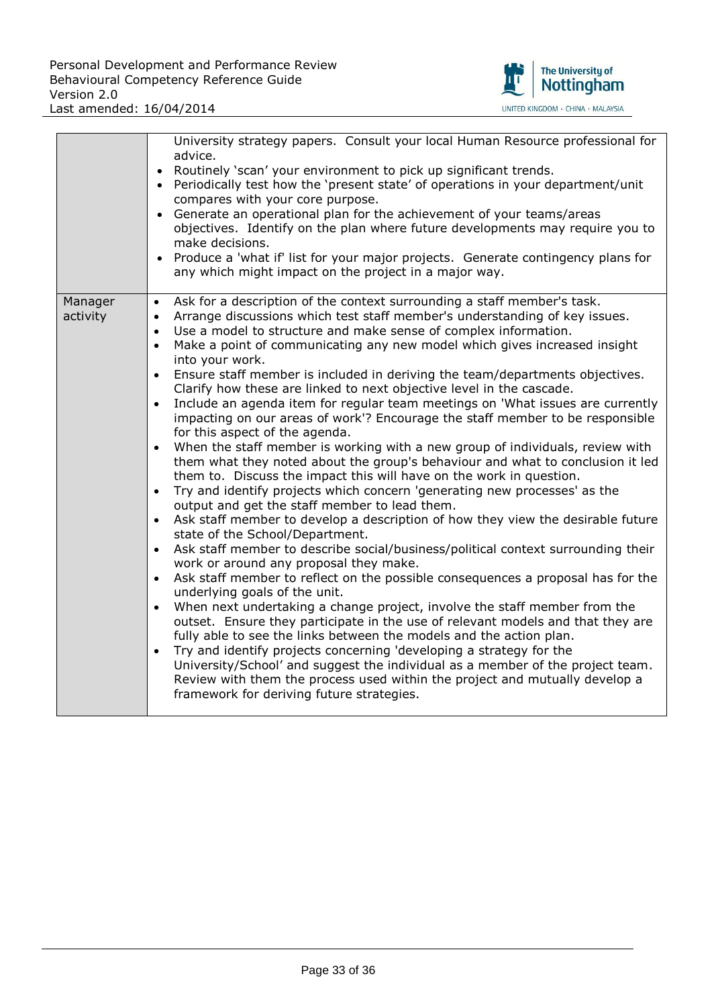

|                     | University strategy papers. Consult your local Human Resource professional for<br>advice.<br>Routinely 'scan' your environment to pick up significant trends.<br>Periodically test how the 'present state' of operations in your department/unit<br>compares with your core purpose.<br>• Generate an operational plan for the achievement of your teams/areas<br>objectives. Identify on the plan where future developments may require you to<br>make decisions.<br>Produce a 'what if' list for your major projects. Generate contingency plans for<br>any which might impact on the project in a major way.                                                                                                                                                                                                                                                                                                                                                                                                                                                                                                                                                                                                                                                                                                                                                                                                                                                                                                                                                                                                                                                                                                                                                                                                                                                                                                                                                                                                                                                                                                                            |
|---------------------|--------------------------------------------------------------------------------------------------------------------------------------------------------------------------------------------------------------------------------------------------------------------------------------------------------------------------------------------------------------------------------------------------------------------------------------------------------------------------------------------------------------------------------------------------------------------------------------------------------------------------------------------------------------------------------------------------------------------------------------------------------------------------------------------------------------------------------------------------------------------------------------------------------------------------------------------------------------------------------------------------------------------------------------------------------------------------------------------------------------------------------------------------------------------------------------------------------------------------------------------------------------------------------------------------------------------------------------------------------------------------------------------------------------------------------------------------------------------------------------------------------------------------------------------------------------------------------------------------------------------------------------------------------------------------------------------------------------------------------------------------------------------------------------------------------------------------------------------------------------------------------------------------------------------------------------------------------------------------------------------------------------------------------------------------------------------------------------------------------------------------------------------|
| Manager<br>activity | Ask for a description of the context surrounding a staff member's task.<br>$\bullet$<br>Arrange discussions which test staff member's understanding of key issues.<br>$\bullet$<br>Use a model to structure and make sense of complex information.<br>$\bullet$<br>Make a point of communicating any new model which gives increased insight<br>$\bullet$<br>into your work.<br>Ensure staff member is included in deriving the team/departments objectives.<br>$\bullet$<br>Clarify how these are linked to next objective level in the cascade.<br>Include an agenda item for regular team meetings on 'What issues are currently<br>$\bullet$<br>impacting on our areas of work'? Encourage the staff member to be responsible<br>for this aspect of the agenda.<br>When the staff member is working with a new group of individuals, review with<br>$\bullet$<br>them what they noted about the group's behaviour and what to conclusion it led<br>them to. Discuss the impact this will have on the work in question.<br>Try and identify projects which concern 'generating new processes' as the<br>$\bullet$<br>output and get the staff member to lead them.<br>Ask staff member to develop a description of how they view the desirable future<br>$\bullet$<br>state of the School/Department.<br>Ask staff member to describe social/business/political context surrounding their<br>$\bullet$<br>work or around any proposal they make.<br>Ask staff member to reflect on the possible consequences a proposal has for the<br>$\bullet$<br>underlying goals of the unit.<br>When next undertaking a change project, involve the staff member from the<br>$\bullet$<br>outset. Ensure they participate in the use of relevant models and that they are<br>fully able to see the links between the models and the action plan.<br>Try and identify projects concerning 'developing a strategy for the<br>$\bullet$<br>University/School' and suggest the individual as a member of the project team.<br>Review with them the process used within the project and mutually develop a<br>framework for deriving future strategies. |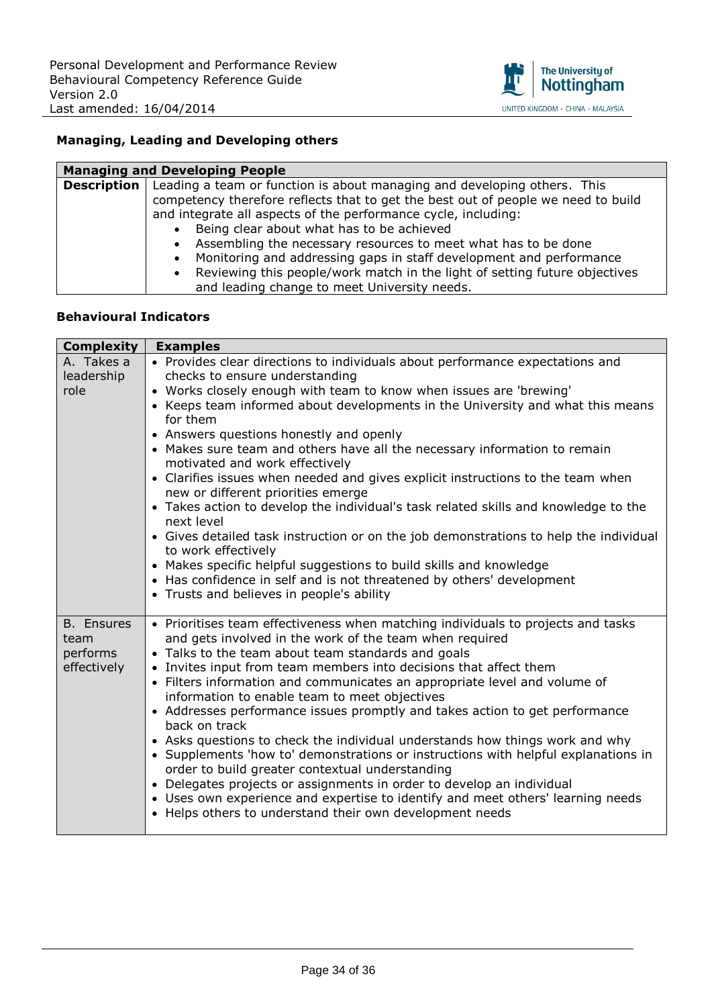

### **Managing, Leading and Developing others**

| <b>Managing and Developing People</b> |                                                                                   |  |
|---------------------------------------|-----------------------------------------------------------------------------------|--|
| <b>Description</b>                    | Leading a team or function is about managing and developing others. This          |  |
|                                       | competency therefore reflects that to get the best out of people we need to build |  |
|                                       | and integrate all aspects of the performance cycle, including:                    |  |
|                                       | Being clear about what has to be achieved                                         |  |
|                                       | Assembling the necessary resources to meet what has to be done                    |  |
|                                       | Monitoring and addressing gaps in staff development and performance               |  |
|                                       | Reviewing this people/work match in the light of setting future objectives        |  |
|                                       | and leading change to meet University needs.                                      |  |

| <b>Complexity</b> | <b>Examples</b>                                                                                   |
|-------------------|---------------------------------------------------------------------------------------------------|
| A. Takes a        | • Provides clear directions to individuals about performance expectations and                     |
| leadership        | checks to ensure understanding                                                                    |
| role              | • Works closely enough with team to know when issues are 'brewing'                                |
|                   | • Keeps team informed about developments in the University and what this means                    |
|                   | for them                                                                                          |
|                   | • Answers questions honestly and openly                                                           |
|                   | • Makes sure team and others have all the necessary information to remain                         |
|                   | motivated and work effectively                                                                    |
|                   | • Clarifies issues when needed and gives explicit instructions to the team when                   |
|                   | new or different priorities emerge                                                                |
|                   | • Takes action to develop the individual's task related skills and knowledge to the<br>next level |
|                   | • Gives detailed task instruction or on the job demonstrations to help the individual             |
|                   | to work effectively                                                                               |
|                   | • Makes specific helpful suggestions to build skills and knowledge                                |
|                   | • Has confidence in self and is not threatened by others' development                             |
|                   | • Trusts and believes in people's ability                                                         |
|                   |                                                                                                   |
| <b>B.</b> Ensures | • Prioritises team effectiveness when matching individuals to projects and tasks                  |
| team              | and gets involved in the work of the team when required                                           |
| performs          | • Talks to the team about team standards and goals                                                |
| effectively       | • Invites input from team members into decisions that affect them                                 |
|                   | • Filters information and communicates an appropriate level and volume of                         |
|                   | information to enable team to meet objectives                                                     |
|                   | • Addresses performance issues promptly and takes action to get performance<br>back on track      |
|                   | • Asks questions to check the individual understands how things work and why                      |
|                   | • Supplements 'how to' demonstrations or instructions with helpful explanations in                |
|                   | order to build greater contextual understanding                                                   |
|                   | • Delegates projects or assignments in order to develop an individual                             |
|                   | • Uses own experience and expertise to identify and meet others' learning needs                   |
|                   | • Helps others to understand their own development needs                                          |
|                   |                                                                                                   |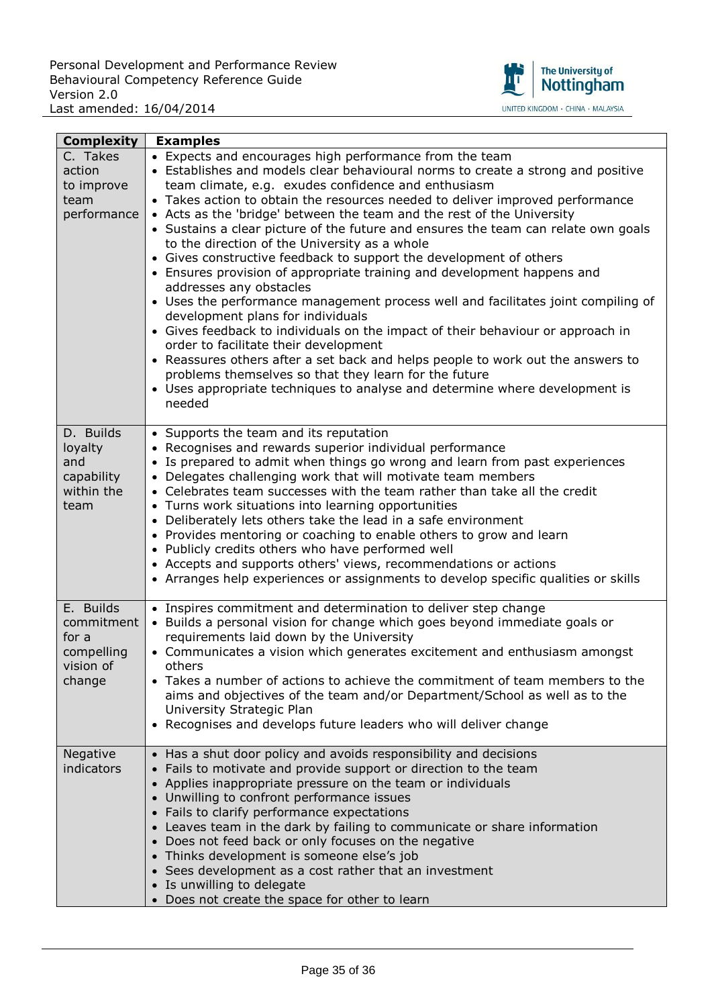

| <b>Complexity</b>                                                     | <b>Examples</b>                                                                                                                                                                                                                                                                                                                                                                                                                                                                                                                                                                                                                                                                                                                                                                                                                                                                                                                                                                                                                                                                                                                                                             |
|-----------------------------------------------------------------------|-----------------------------------------------------------------------------------------------------------------------------------------------------------------------------------------------------------------------------------------------------------------------------------------------------------------------------------------------------------------------------------------------------------------------------------------------------------------------------------------------------------------------------------------------------------------------------------------------------------------------------------------------------------------------------------------------------------------------------------------------------------------------------------------------------------------------------------------------------------------------------------------------------------------------------------------------------------------------------------------------------------------------------------------------------------------------------------------------------------------------------------------------------------------------------|
| C. Takes<br>action<br>to improve<br>team<br>performance               | • Expects and encourages high performance from the team<br>• Establishes and models clear behavioural norms to create a strong and positive<br>team climate, e.g. exudes confidence and enthusiasm<br>• Takes action to obtain the resources needed to deliver improved performance<br>• Acts as the 'bridge' between the team and the rest of the University<br>• Sustains a clear picture of the future and ensures the team can relate own goals<br>to the direction of the University as a whole<br>• Gives constructive feedback to support the development of others<br>• Ensures provision of appropriate training and development happens and<br>addresses any obstacles<br>• Uses the performance management process well and facilitates joint compiling of<br>development plans for individuals<br>• Gives feedback to individuals on the impact of their behaviour or approach in<br>order to facilitate their development<br>• Reassures others after a set back and helps people to work out the answers to<br>problems themselves so that they learn for the future<br>• Uses appropriate techniques to analyse and determine where development is<br>needed |
| D. Builds<br>loyalty<br>and<br>capability<br>within the<br>team       | • Supports the team and its reputation<br>• Recognises and rewards superior individual performance<br>• Is prepared to admit when things go wrong and learn from past experiences<br>• Delegates challenging work that will motivate team members<br>• Celebrates team successes with the team rather than take all the credit<br>• Turns work situations into learning opportunities<br>• Deliberately lets others take the lead in a safe environment<br>• Provides mentoring or coaching to enable others to grow and learn<br>• Publicly credits others who have performed well<br>• Accepts and supports others' views, recommendations or actions<br>• Arranges help experiences or assignments to develop specific qualities or skills                                                                                                                                                                                                                                                                                                                                                                                                                               |
| E. Builds<br>commitment<br>for a<br>compelling<br>vision of<br>change | • Inspires commitment and determination to deliver step change<br>• Builds a personal vision for change which goes beyond immediate goals or<br>requirements laid down by the University<br>• Communicates a vision which generates excitement and enthusiasm amongst<br>others<br>• Takes a number of actions to achieve the commitment of team members to the<br>aims and objectives of the team and/or Department/School as well as to the<br>University Strategic Plan<br>• Recognises and develops future leaders who will deliver change                                                                                                                                                                                                                                                                                                                                                                                                                                                                                                                                                                                                                              |
| Negative<br>indicators                                                | • Has a shut door policy and avoids responsibility and decisions<br>• Fails to motivate and provide support or direction to the team<br>• Applies inappropriate pressure on the team or individuals<br>• Unwilling to confront performance issues<br>• Fails to clarify performance expectations<br>• Leaves team in the dark by failing to communicate or share information<br>• Does not feed back or only focuses on the negative<br>• Thinks development is someone else's job<br>• Sees development as a cost rather that an investment<br>• Is unwilling to delegate<br>• Does not create the space for other to learn                                                                                                                                                                                                                                                                                                                                                                                                                                                                                                                                                |